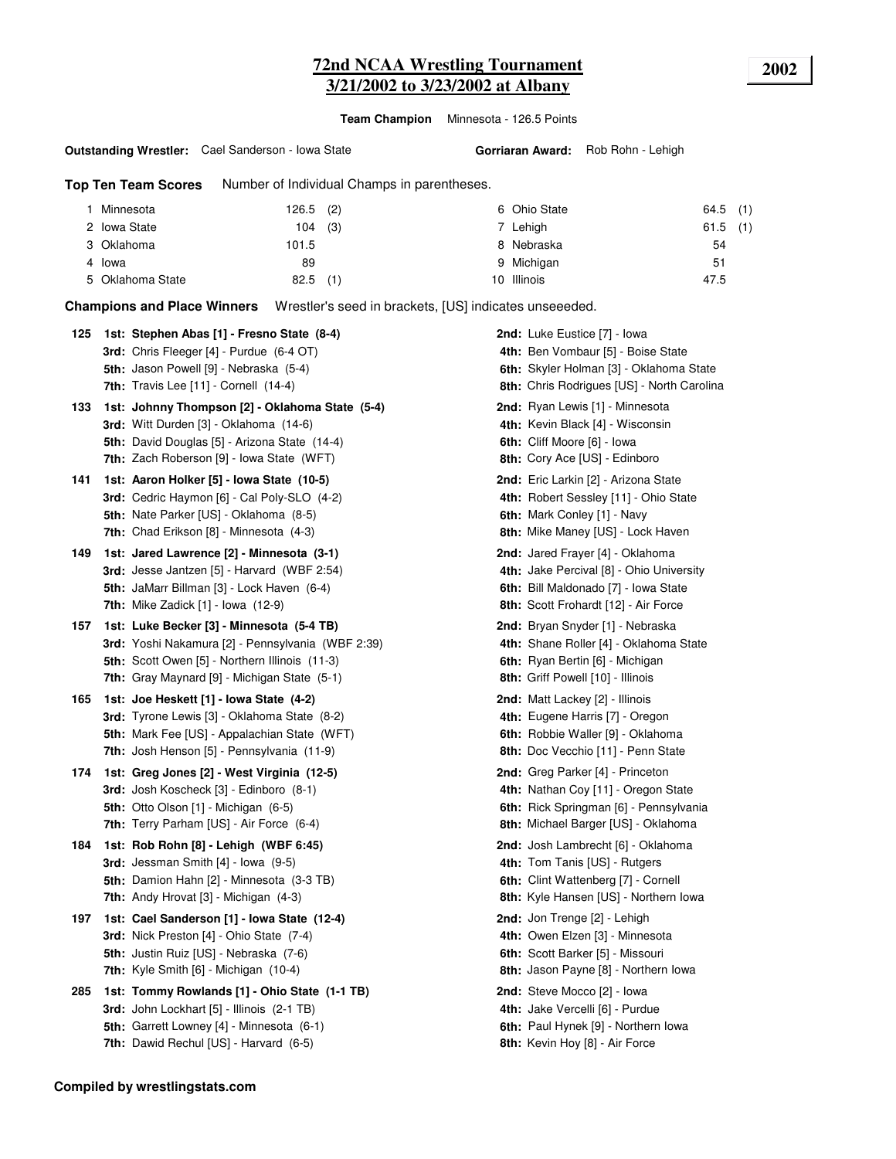# **72nd NCAA Wrestling Tournament 2002 3/21/2002 to 3/23/2002 at Albany**

**Team Champion** Minnesota - 126.5 Points

#### **Outstanding Wrestler:** Cael Sanderson - Iowa State

**Gorriaran Award:** Rob Rohn - Lehigh

**Top Ten Team Scores** Number of Individual Champs in parentheses.

| Minnesota        | $126.5$ (2) | 6 Ohio State | $64.5$ (1) |
|------------------|-------------|--------------|------------|
| 2 Iowa State     | $104$ (3)   | 7 Lehigh     | $61.5$ (1) |
| 3 Oklahoma       | 101.5       | 8 Nebraska   | 54         |
| 4 Iowa           | 89          | 9 Michigan   | 51         |
| 5 Oklahoma State | (1)<br>82.5 | 10 Illinois  | 47.5       |

**Champions and Place Winners** Wrestler's seed in brackets, [US] indicates unseeeded.

| 125 | 1st: Stephen Abas [1] - Fresno State (8-4)<br>3rd: Chris Fleeger [4] - Purdue (6-4 OT)<br>5th: Jason Powell [9] - Nebraska (5-4)<br>7th: Travis Lee $[11]$ - Cornell $(14-4)$                    | 2nd: Luke Eustice [7] - Iowa<br>4th: Ben Vombaur [5] - Boise State<br>6th: Skyler Holman [3] - Oklahoma State<br>8th: Chris Rodrigues [US] - North Carolina     |
|-----|--------------------------------------------------------------------------------------------------------------------------------------------------------------------------------------------------|-----------------------------------------------------------------------------------------------------------------------------------------------------------------|
| 133 | 1st: Johnny Thompson [2] - Oklahoma State (5-4)<br>3rd: Witt Durden [3] - Oklahoma (14-6)<br>5th: David Douglas [5] - Arizona State (14-4)<br><b>7th:</b> Zach Roberson [9] - Iowa State (WFT)   | <b>2nd:</b> Ryan Lewis [1] - Minnesota<br>4th: Kevin Black [4] - Wisconsin<br>6th: Cliff Moore [6] - Iowa<br>8th: Cory Ace [US] - Edinboro                      |
| 141 | 1st: Aaron Holker [5] - Iowa State (10-5)<br>3rd: Cedric Haymon [6] - Cal Poly-SLO (4-2)<br>5th: Nate Parker [US] - Oklahoma (8-5)<br><b>7th:</b> Chad Erikson [8] - Minnesota (4-3)             | 2nd: Eric Larkin [2] - Arizona State<br>4th: Robert Sessley [11] - Ohio State<br>6th: Mark Conley [1] - Navy<br>8th: Mike Maney [US] - Lock Haven               |
| 149 | 1st: Jared Lawrence [2] - Minnesota (3-1)<br><b>3rd:</b> Jesse Jantzen [5] - Harvard (WBF 2:54)<br>5th: JaMarr Billman [3] - Lock Haven (6-4)<br><b>7th:</b> Mike Zadick $[1]$ - lowa $(12-9)$   | 2nd: Jared Frayer [4] - Oklahoma<br>4th: Jake Percival [8] - Ohio University<br>6th: Bill Maldonado [7] - Iowa State<br>8th: Scott Frohardt [12] - Air Force    |
| 157 | 1st: Luke Becker [3] - Minnesota (5-4 TB)<br>3rd: Yoshi Nakamura [2] - Pennsylvania (WBF 2:39)<br>5th: Scott Owen [5] - Northern Illinois (11-3)<br>7th: Gray Maynard [9] - Michigan State (5-1) | 2nd: Bryan Snyder [1] - Nebraska<br>4th: Shane Roller [4] - Oklahoma State<br>6th: Ryan Bertin [6] - Michigan<br>8th: Griff Powell [10] - Illinois              |
| 165 | 1st: Joe Heskett [1] - Iowa State (4-2)<br>3rd: Tyrone Lewis [3] - Oklahoma State (8-2)<br>5th: Mark Fee [US] - Appalachian State (WFT)<br>7th: Josh Henson [5] - Pennsylvania (11-9)            | 2nd: Matt Lackey [2] - Illinois<br>4th: Eugene Harris [7] - Oregon<br>6th: Robbie Waller [9] - Oklahoma<br>8th: Doc Vecchio [11] - Penn State                   |
| 174 | 1st: Greg Jones [2] - West Virginia (12-5)<br>3rd: Josh Koscheck [3] - Edinboro (8-1)<br><b>5th:</b> Otto Olson $[1]$ - Michigan $(6-5)$<br>7th: Terry Parham [US] - Air Force (6-4)             | <b>2nd:</b> Greg Parker [4] - Princeton<br>4th: Nathan Coy [11] - Oregon State<br>6th: Rick Springman [6] - Pennsylvania<br>8th: Michael Barger [US] - Oklahoma |
| 184 | 1st: Rob Rohn [8] - Lehigh (WBF 6:45)<br><b>3rd:</b> Jessman Smith $[4]$ - lowa $(9-5)$<br>5th: Damion Hahn [2] - Minnesota (3-3 TB)<br>7th: Andy Hrovat [3] - Michigan (4-3)                    | 2nd: Josh Lambrecht [6] - Oklahoma<br>4th: Tom Tanis [US] - Rutgers<br>6th: Clint Wattenberg [7] - Cornell<br>8th: Kyle Hansen [US] - Northern Iowa             |
| 197 | 1st: Cael Sanderson [1] - Iowa State (12-4)<br>3rd: Nick Preston [4] - Ohio State (7-4)<br>5th: Justin Ruiz [US] - Nebraska (7-6)<br><b>7th:</b> Kyle Smith [6] - Michigan (10-4)                | 2nd: Jon Trenge [2] - Lehigh<br>4th: Owen Elzen [3] - Minnesota<br>6th: Scott Barker [5] - Missouri<br>8th: Jason Payne [8] - Northern Iowa                     |
| 285 | 1st: Tommy Rowlands [1] - Ohio State (1-1 TB)<br>3rd: John Lockhart [5] - Illinois (2-1 TB)<br><b>5th:</b> Garrett Lowney [4] - Minnesota (6-1)<br>7th: Dawid Rechul [US] - Harvard (6-5)        | <b>2nd:</b> Steve Mocco [2] - Iowa<br>4th: Jake Vercelli [6] - Purdue<br>6th: Paul Hynek [9] - Northern Iowa<br>8th: Kevin Hoy [8] - Air Force                  |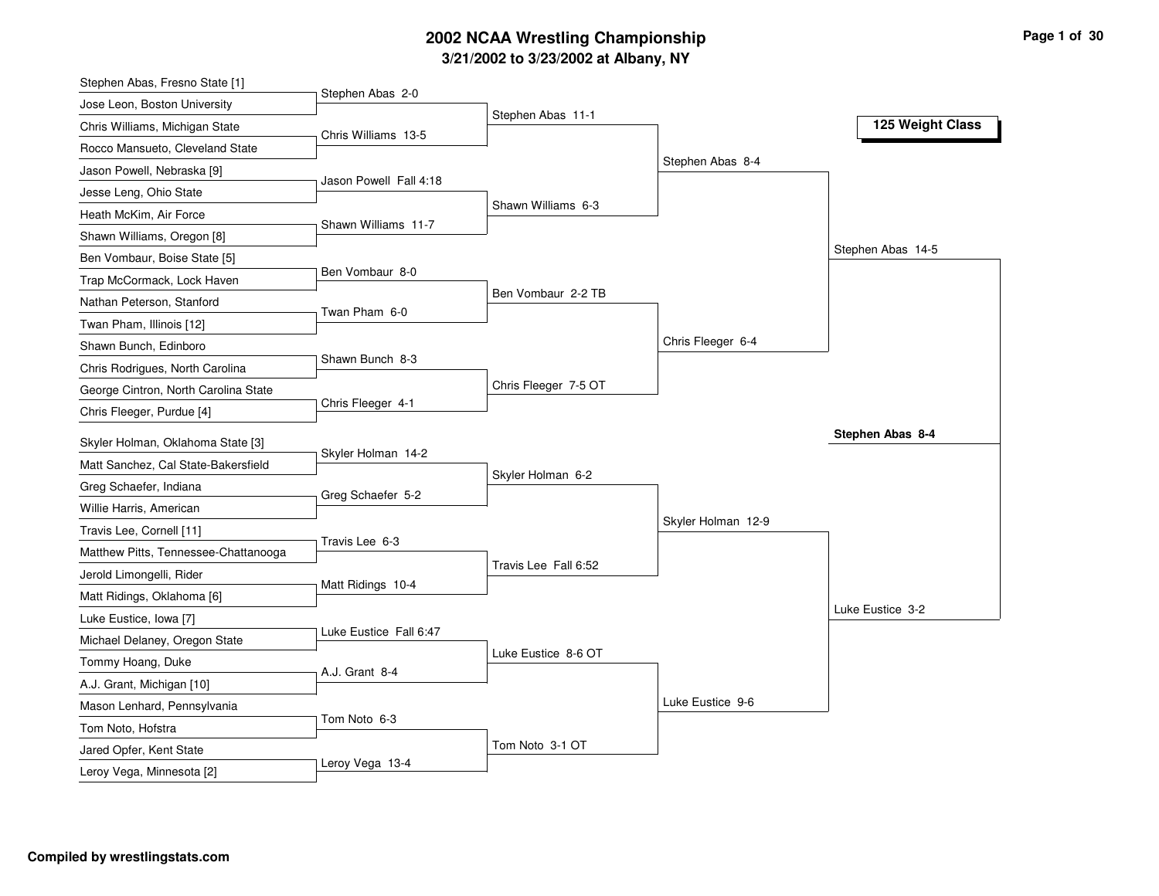# **3/21/2002 to 3/23/2002 at Albany, NY 2002 NCAA Wrestling Championship Page <sup>1</sup> of <sup>30</sup>**

| Stephen Abas, Fresno State [1]                                           |                        |                      |                    |                   |
|--------------------------------------------------------------------------|------------------------|----------------------|--------------------|-------------------|
| Jose Leon, Boston University                                             | Stephen Abas 2-0       |                      |                    |                   |
| Chris Williams, Michigan State                                           | Chris Williams 13-5    | Stephen Abas 11-1    |                    | 125 Weight Class  |
| Rocco Mansueto, Cleveland State                                          |                        |                      |                    |                   |
| Jason Powell, Nebraska [9]                                               |                        |                      | Stephen Abas 8-4   |                   |
| Jesse Leng, Ohio State                                                   | Jason Powell Fall 4:18 |                      |                    |                   |
| Heath McKim, Air Force                                                   |                        | Shawn Williams 6-3   |                    |                   |
| Shawn Williams, Oregon [8]                                               | Shawn Williams 11-7    |                      |                    |                   |
| Ben Vombaur, Boise State [5]                                             |                        |                      |                    | Stephen Abas 14-5 |
| Trap McCormack, Lock Haven                                               | Ben Vombaur 8-0        |                      |                    |                   |
| Nathan Peterson, Stanford                                                |                        | Ben Vombaur 2-2 TB   |                    |                   |
| Twan Pham, Illinois [12]                                                 | Twan Pham 6-0          |                      |                    |                   |
| Shawn Bunch, Edinboro                                                    |                        |                      | Chris Fleeger 6-4  |                   |
| Chris Rodrigues, North Carolina                                          | Shawn Bunch 8-3        |                      |                    |                   |
| George Cintron, North Carolina State                                     |                        | Chris Fleeger 7-5 OT |                    |                   |
| Chris Fleeger, Purdue [4]                                                | Chris Fleeger 4-1      |                      |                    |                   |
|                                                                          |                        |                      |                    | Stephen Abas 8-4  |
| Skyler Holman, Oklahoma State [3]<br>Matt Sanchez, Cal State-Bakersfield | Skyler Holman 14-2     |                      |                    |                   |
|                                                                          |                        | Skyler Holman 6-2    |                    |                   |
| Greg Schaefer, Indiana                                                   | Greg Schaefer 5-2      |                      |                    |                   |
| Willie Harris, American                                                  |                        |                      | Skyler Holman 12-9 |                   |
| Travis Lee, Cornell [11]                                                 | Travis Lee 6-3         |                      |                    |                   |
| Matthew Pitts, Tennessee-Chattanooga                                     |                        | Travis Lee Fall 6:52 |                    |                   |
| Jerold Limongelli, Rider                                                 | Matt Ridings 10-4      |                      |                    |                   |
| Matt Ridings, Oklahoma [6]                                               |                        |                      |                    | Luke Eustice 3-2  |
| Luke Eustice, Iowa [7]                                                   | Luke Eustice Fall 6:47 |                      |                    |                   |
| Michael Delaney, Oregon State                                            |                        | Luke Eustice 8-6 OT  |                    |                   |
| Tommy Hoang, Duke                                                        | A.J. Grant 8-4         |                      |                    |                   |
|                                                                          |                        |                      |                    |                   |
| A.J. Grant, Michigan [10]                                                |                        |                      |                    |                   |
| Mason Lenhard, Pennsylvania                                              | Tom Noto 6-3           |                      | Luke Eustice 9-6   |                   |
| Tom Noto, Hofstra                                                        |                        |                      |                    |                   |
| Jared Opfer, Kent State<br>Leroy Vega, Minnesota [2]                     | Leroy Vega 13-4        | Tom Noto 3-1 OT      |                    |                   |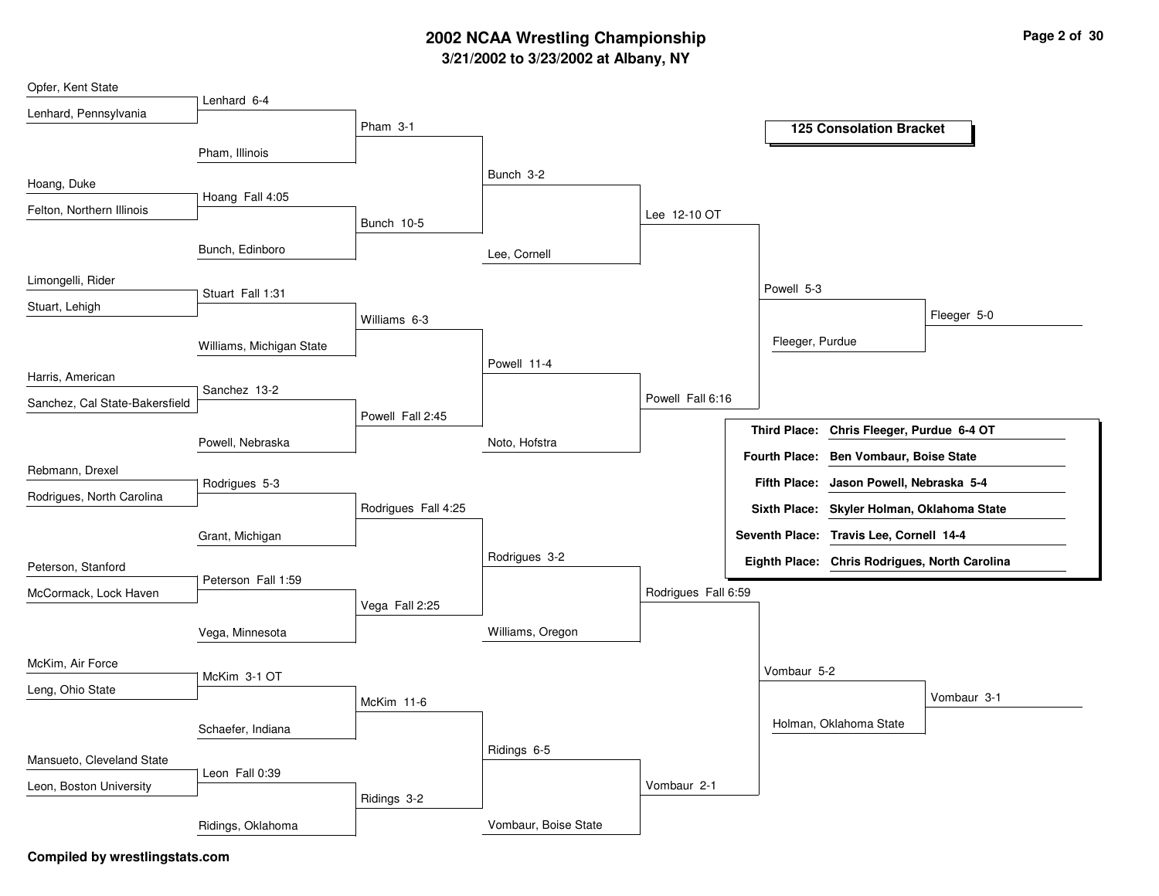# **3/21/2002 to 3/23/2002 at Albany, NY 2002 NCAA Wrestling Championship Page <sup>2</sup> of <sup>30</sup>**

| Opfer, Kent State              |                          |                     |                      |                     |                      |                                               |             |
|--------------------------------|--------------------------|---------------------|----------------------|---------------------|----------------------|-----------------------------------------------|-------------|
| Lenhard, Pennsylvania          | Lenhard 6-4              |                     |                      |                     |                      |                                               |             |
|                                |                          | Pham 3-1            |                      |                     |                      | <b>125 Consolation Bracket</b>                |             |
|                                | Pham, Illinois           |                     |                      |                     |                      |                                               |             |
| Hoang, Duke                    |                          |                     | Bunch 3-2            |                     |                      |                                               |             |
| Felton, Northern Illinois      | Hoang Fall 4:05          |                     |                      | Lee 12-10 OT        |                      |                                               |             |
|                                |                          | Bunch 10-5          |                      |                     |                      |                                               |             |
|                                | Bunch, Edinboro          |                     | Lee, Cornell         |                     |                      |                                               |             |
| Limongelli, Rider              |                          |                     |                      |                     | Powell 5-3           |                                               |             |
| Stuart, Lehigh                 | Stuart Fall 1:31         |                     |                      |                     |                      |                                               |             |
|                                |                          | Williams 6-3        |                      |                     |                      |                                               | Fleeger 5-0 |
|                                | Williams, Michigan State |                     |                      |                     | Fleeger, Purdue      |                                               |             |
| Harris, American               |                          |                     | Powell 11-4          |                     |                      |                                               |             |
| Sanchez, Cal State-Bakersfield | Sanchez 13-2             |                     |                      | Powell Fall 6:16    |                      |                                               |             |
|                                |                          | Powell Fall 2:45    |                      |                     |                      | Third Place: Chris Fleeger, Purdue 6-4 OT     |             |
|                                | Powell, Nebraska         |                     | Noto, Hofstra        |                     | <b>Fourth Place:</b> | <b>Ben Vombaur, Boise State</b>               |             |
| Rebmann, Drexel                |                          |                     |                      |                     |                      |                                               |             |
| Rodrigues, North Carolina      | Rodrigues 5-3            |                     |                      |                     | <b>Fifth Place:</b>  | Jason Powell, Nebraska 5-4                    |             |
|                                |                          | Rodrigues Fall 4:25 |                      |                     |                      | Sixth Place: Skyler Holman, Oklahoma State    |             |
|                                | Grant, Michigan          |                     |                      |                     |                      | Seventh Place: Travis Lee, Cornell 14-4       |             |
| Peterson, Stanford             |                          |                     | Rodrigues 3-2        |                     |                      | Eighth Place: Chris Rodrigues, North Carolina |             |
| McCormack, Lock Haven          | Peterson Fall 1:59       |                     |                      | Rodrigues Fall 6:59 |                      |                                               |             |
|                                |                          | Vega Fall 2:25      |                      |                     |                      |                                               |             |
|                                | Vega, Minnesota          |                     | Williams, Oregon     |                     |                      |                                               |             |
| McKim, Air Force               |                          |                     |                      |                     | Vombaur 5-2          |                                               |             |
| Leng, Ohio State               | McKim 3-1 OT             |                     |                      |                     |                      |                                               |             |
|                                |                          | McKim 11-6          |                      |                     |                      |                                               | Vombaur 3-1 |
|                                | Schaefer, Indiana        |                     |                      |                     |                      | Holman, Oklahoma State                        |             |
| Mansueto, Cleveland State      |                          |                     | Ridings 6-5          |                     |                      |                                               |             |
| Leon, Boston University        | Leon Fall 0:39           |                     |                      | Vombaur 2-1         |                      |                                               |             |
|                                |                          | Ridings 3-2         |                      |                     |                      |                                               |             |
|                                | Ridings, Oklahoma        |                     | Vombaur, Boise State |                     |                      |                                               |             |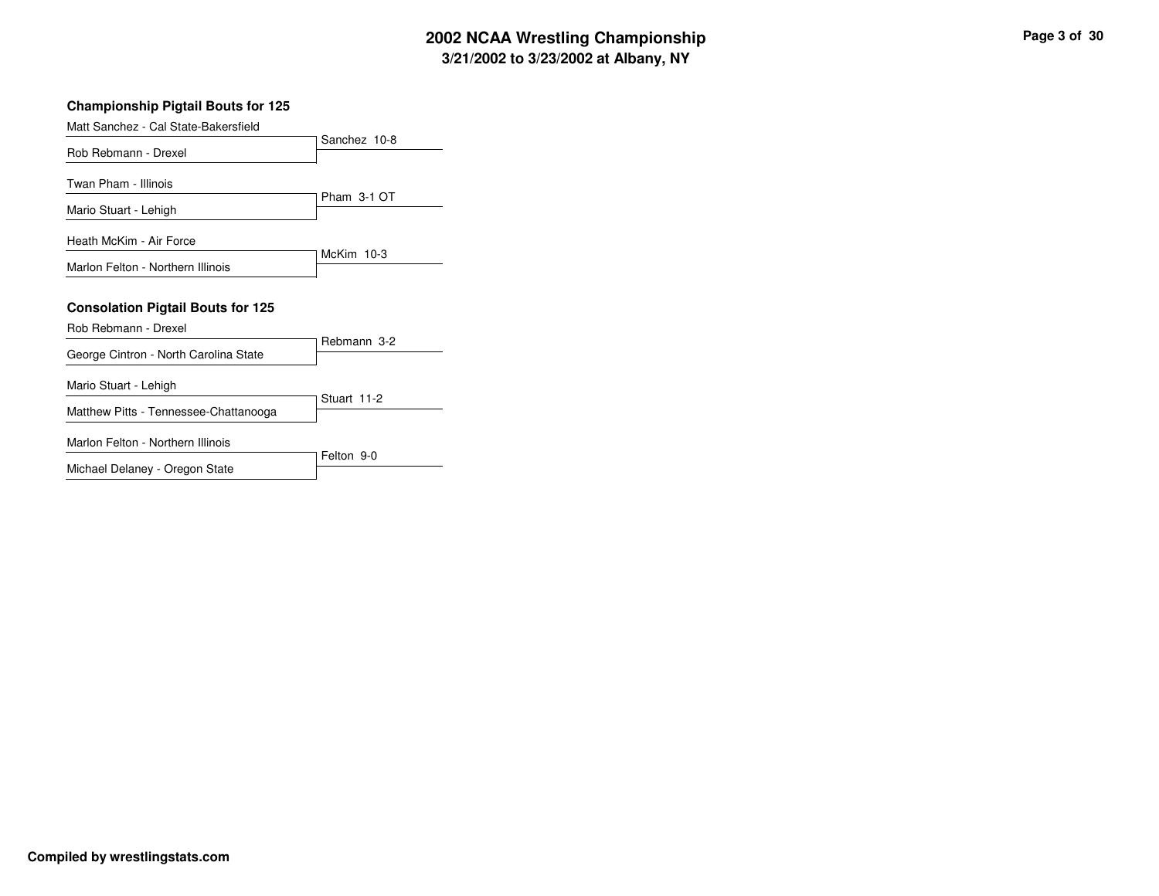# **3/21/2002 to 3/23/2002 at Albany, NY 2002 NCAA Wrestling Championship Page <sup>3</sup> of <sup>30</sup>**

| <b>Championship Pigtail Bouts for 125</b>                        |              |
|------------------------------------------------------------------|--------------|
| Matt Sanchez - Cal State-Bakersfield                             |              |
| Rob Rebmann - Drexel                                             | Sanchez 10-8 |
| Twan Pham - Illinois                                             | Pham 3-1 OT  |
| Mario Stuart - Lehigh                                            |              |
| Heath McKim - Air Force                                          | McKim $10-3$ |
| Marlon Felton - Northern Illinois                                |              |
| <b>Consolation Pigtail Bouts for 125</b><br>Rob Rebmann - Drexel |              |
| George Cintron - North Carolina State                            | Rebmann 3-2  |
| Mario Stuart - Lehigh                                            | Stuart 11-2  |
| Matthew Pitts - Tennessee-Chattanooga                            |              |
| Marlon Felton - Northern Illinois                                | Felton 9-0   |
| Michael Delaney - Oregon State                                   |              |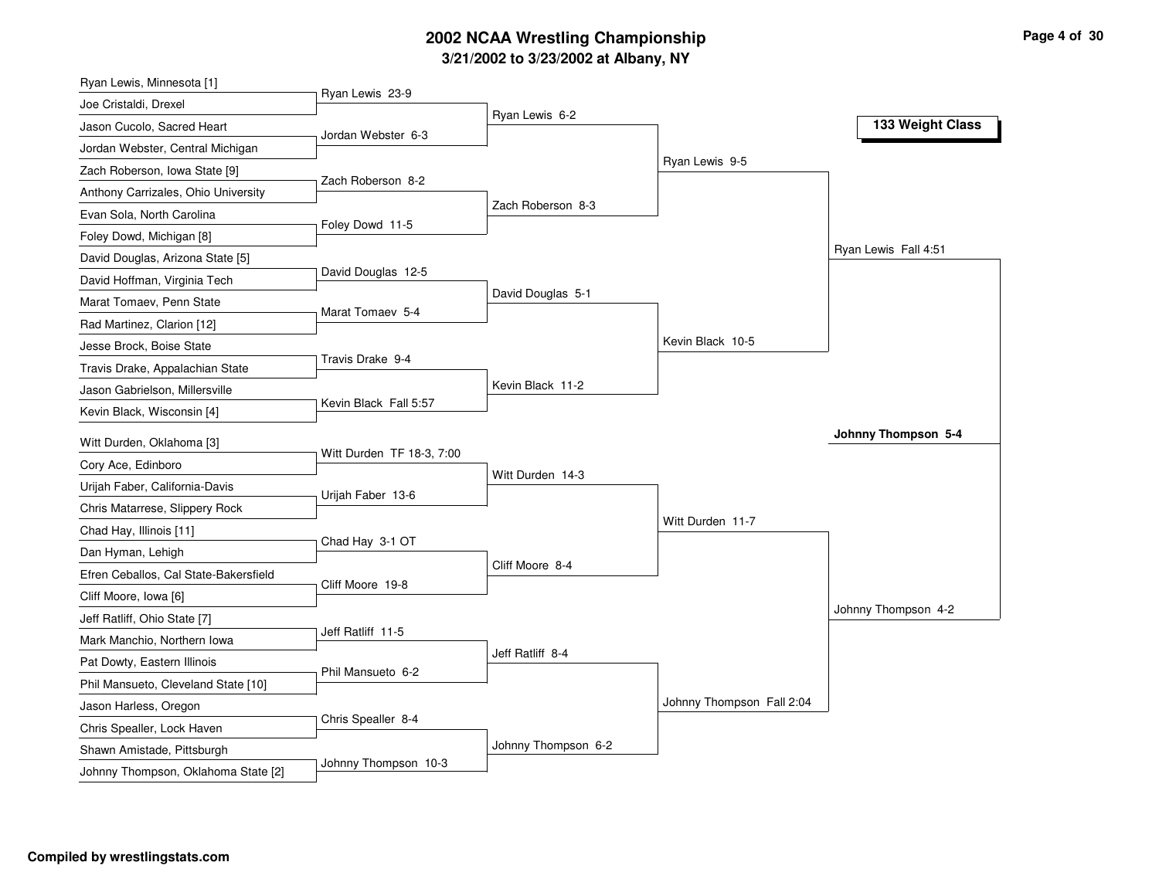# **3/21/2002 to 3/23/2002 at Albany, NY 2002 NCAA Wrestling Championship Page <sup>4</sup> of <sup>30</sup>**

| Ryan Lewis, Minnesota [1]                                  |                           |                     |                           |                      |
|------------------------------------------------------------|---------------------------|---------------------|---------------------------|----------------------|
| Joe Cristaldi, Drexel                                      | Ryan Lewis 23-9           |                     |                           |                      |
| Jason Cucolo, Sacred Heart                                 | Jordan Webster 6-3        | Ryan Lewis 6-2      |                           | 133 Weight Class     |
| Jordan Webster, Central Michigan                           |                           |                     |                           |                      |
| Zach Roberson, Iowa State [9]                              |                           |                     | Ryan Lewis 9-5            |                      |
| Anthony Carrizales, Ohio University                        | Zach Roberson 8-2         |                     |                           |                      |
| Evan Sola, North Carolina                                  |                           | Zach Roberson 8-3   |                           |                      |
| Foley Dowd, Michigan [8]                                   | Foley Dowd 11-5           |                     |                           |                      |
| David Douglas, Arizona State [5]                           |                           |                     |                           | Ryan Lewis Fall 4:51 |
| David Hoffman, Virginia Tech                               | David Douglas 12-5        |                     |                           |                      |
| Marat Tomaev, Penn State                                   |                           | David Douglas 5-1   |                           |                      |
| Rad Martinez, Clarion [12]                                 | Marat Tomaev 5-4          |                     |                           |                      |
| Jesse Brock, Boise State                                   |                           |                     | Kevin Black 10-5          |                      |
| Travis Drake, Appalachian State                            | Travis Drake 9-4          |                     |                           |                      |
| Jason Gabrielson, Millersville                             |                           | Kevin Black 11-2    |                           |                      |
| Kevin Black, Wisconsin [4]                                 | Kevin Black Fall 5:57     |                     |                           |                      |
| Witt Durden, Oklahoma [3]                                  |                           |                     |                           | Johnny Thompson 5-4  |
| Cory Ace, Edinboro                                         | Witt Durden TF 18-3, 7:00 |                     |                           |                      |
| Urijah Faber, California-Davis                             |                           | Witt Durden 14-3    |                           |                      |
| Chris Matarrese, Slippery Rock                             | Urijah Faber 13-6         |                     |                           |                      |
| Chad Hay, Illinois [11]                                    |                           |                     | Witt Durden 11-7          |                      |
|                                                            | Chad Hay 3-1 OT           |                     |                           |                      |
| Dan Hyman, Lehigh<br>Efren Ceballos, Cal State-Bakersfield |                           | Cliff Moore 8-4     |                           |                      |
| Cliff Moore, Iowa [6]                                      | Cliff Moore 19-8          |                     |                           |                      |
| Jeff Ratliff, Ohio State [7]                               |                           |                     |                           | Johnny Thompson 4-2  |
|                                                            | Jeff Ratliff 11-5         |                     |                           |                      |
| Mark Manchio, Northern Iowa                                |                           | Jeff Ratliff 8-4    |                           |                      |
| Pat Dowty, Eastern Illinois                                | Phil Mansueto 6-2         |                     |                           |                      |
| Phil Mansueto, Cleveland State [10]                        |                           |                     | Johnny Thompson Fall 2:04 |                      |
| Jason Harless, Oregon                                      | Chris Spealler 8-4        |                     |                           |                      |
| Chris Spealler, Lock Haven                                 |                           | Johnny Thompson 6-2 |                           |                      |
| Shawn Amistade, Pittsburgh                                 | Johnny Thompson 10-3      |                     |                           |                      |
| Johnny Thompson, Oklahoma State [2]                        |                           |                     |                           |                      |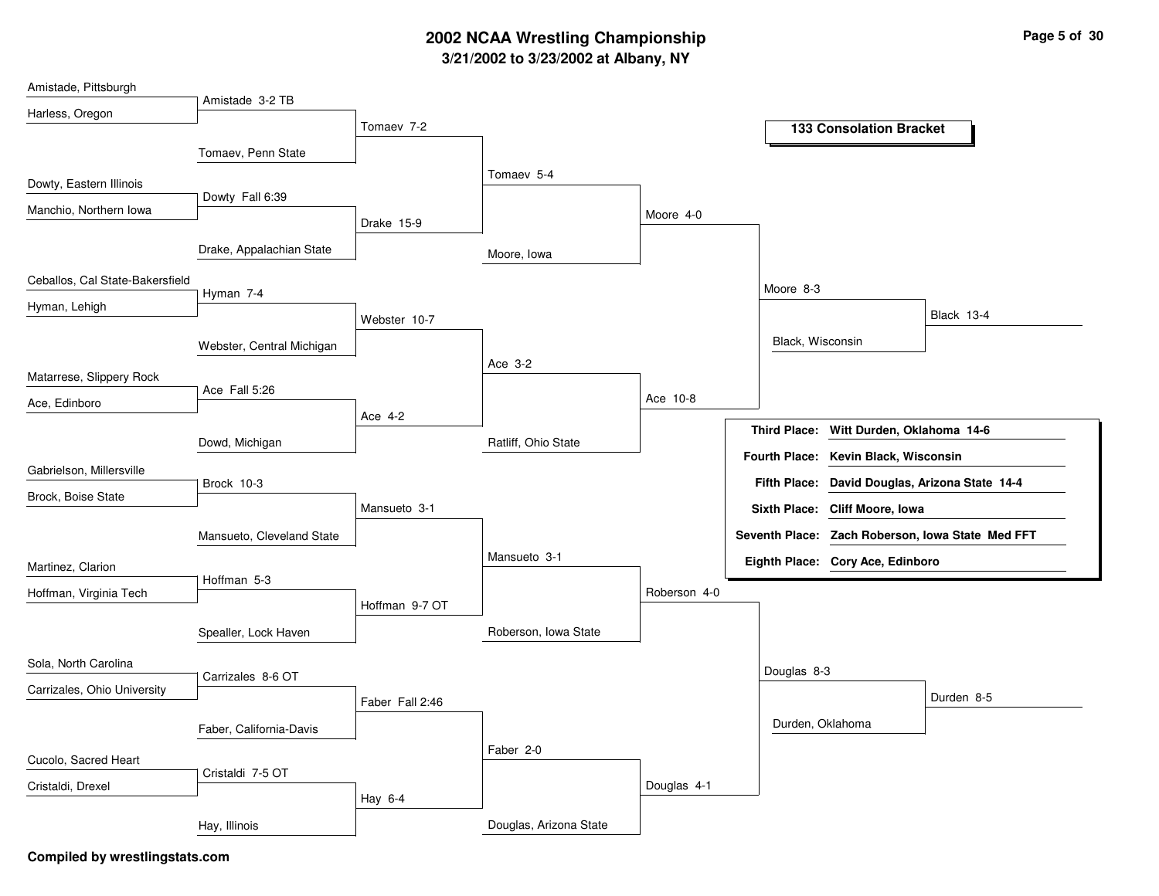# **3/21/2002 to 3/23/2002 at Albany, NY 2002 NCAA Wrestling Championship Page <sup>5</sup> of <sup>30</sup>**

| Amistade, Pittsburgh            |                           |                 |                        |              |                      |                                         |                                                  |
|---------------------------------|---------------------------|-----------------|------------------------|--------------|----------------------|-----------------------------------------|--------------------------------------------------|
| Harless, Oregon                 | Amistade 3-2 TB           |                 |                        |              |                      |                                         |                                                  |
|                                 |                           | Tomaev 7-2      |                        |              |                      | <b>133 Consolation Bracket</b>          |                                                  |
|                                 | Tomaev, Penn State        |                 |                        |              |                      |                                         |                                                  |
| Dowty, Eastern Illinois         |                           |                 | Tomaev 5-4             |              |                      |                                         |                                                  |
| Manchio, Northern Iowa          | Dowty Fall 6:39           |                 |                        |              |                      |                                         |                                                  |
|                                 |                           | Drake 15-9      |                        | Moore 4-0    |                      |                                         |                                                  |
|                                 | Drake, Appalachian State  |                 | Moore, Iowa            |              |                      |                                         |                                                  |
| Ceballos, Cal State-Bakersfield |                           |                 |                        |              | Moore 8-3            |                                         |                                                  |
| Hyman, Lehigh                   | Hyman 7-4                 |                 |                        |              |                      |                                         |                                                  |
|                                 |                           | Webster 10-7    |                        |              |                      |                                         | <b>Black 13-4</b>                                |
|                                 | Webster, Central Michigan |                 |                        |              | Black, Wisconsin     |                                         |                                                  |
| Matarrese, Slippery Rock        |                           |                 | Ace 3-2                |              |                      |                                         |                                                  |
|                                 | Ace Fall 5:26             |                 |                        | Ace 10-8     |                      |                                         |                                                  |
| Ace, Edinboro                   |                           | Ace 4-2         |                        |              |                      |                                         |                                                  |
|                                 | Dowd, Michigan            |                 | Ratliff, Ohio State    |              |                      | Third Place: Witt Durden, Oklahoma 14-6 |                                                  |
| Gabrielson, Millersville        |                           |                 |                        |              | <b>Fourth Place:</b> | Kevin Black, Wisconsin                  |                                                  |
| Brock, Boise State              | Brock 10-3                |                 |                        |              | <b>Fifth Place:</b>  |                                         | David Douglas, Arizona State 14-4                |
|                                 |                           | Mansueto 3-1    |                        |              |                      | Sixth Place: Cliff Moore, Iowa          |                                                  |
|                                 | Mansueto, Cleveland State |                 |                        |              |                      |                                         | Seventh Place: Zach Roberson, Iowa State Med FFT |
| Martinez, Clarion               |                           |                 | Mansueto 3-1           |              |                      | Eighth Place: Cory Ace, Edinboro        |                                                  |
| Hoffman, Virginia Tech          | Hoffman 5-3               |                 |                        | Roberson 4-0 |                      |                                         |                                                  |
|                                 |                           | Hoffman 9-7 OT  |                        |              |                      |                                         |                                                  |
|                                 | Spealler, Lock Haven      |                 | Roberson, Iowa State   |              |                      |                                         |                                                  |
| Sola, North Carolina            |                           |                 |                        |              |                      |                                         |                                                  |
| Carrizales, Ohio University     | Carrizales 8-6 OT         |                 |                        |              | Douglas 8-3          |                                         |                                                  |
|                                 |                           | Faber Fall 2:46 |                        |              |                      |                                         | Durden 8-5                                       |
|                                 | Faber, California-Davis   |                 |                        |              | Durden, Oklahoma     |                                         |                                                  |
| Cucolo, Sacred Heart            |                           |                 | Faber 2-0              |              |                      |                                         |                                                  |
| Cristaldi, Drexel               | Cristaldi 7-5 OT          |                 |                        | Douglas 4-1  |                      |                                         |                                                  |
|                                 |                           | Hay 6-4         |                        |              |                      |                                         |                                                  |
|                                 | Hay, Illinois             |                 | Douglas, Arizona State |              |                      |                                         |                                                  |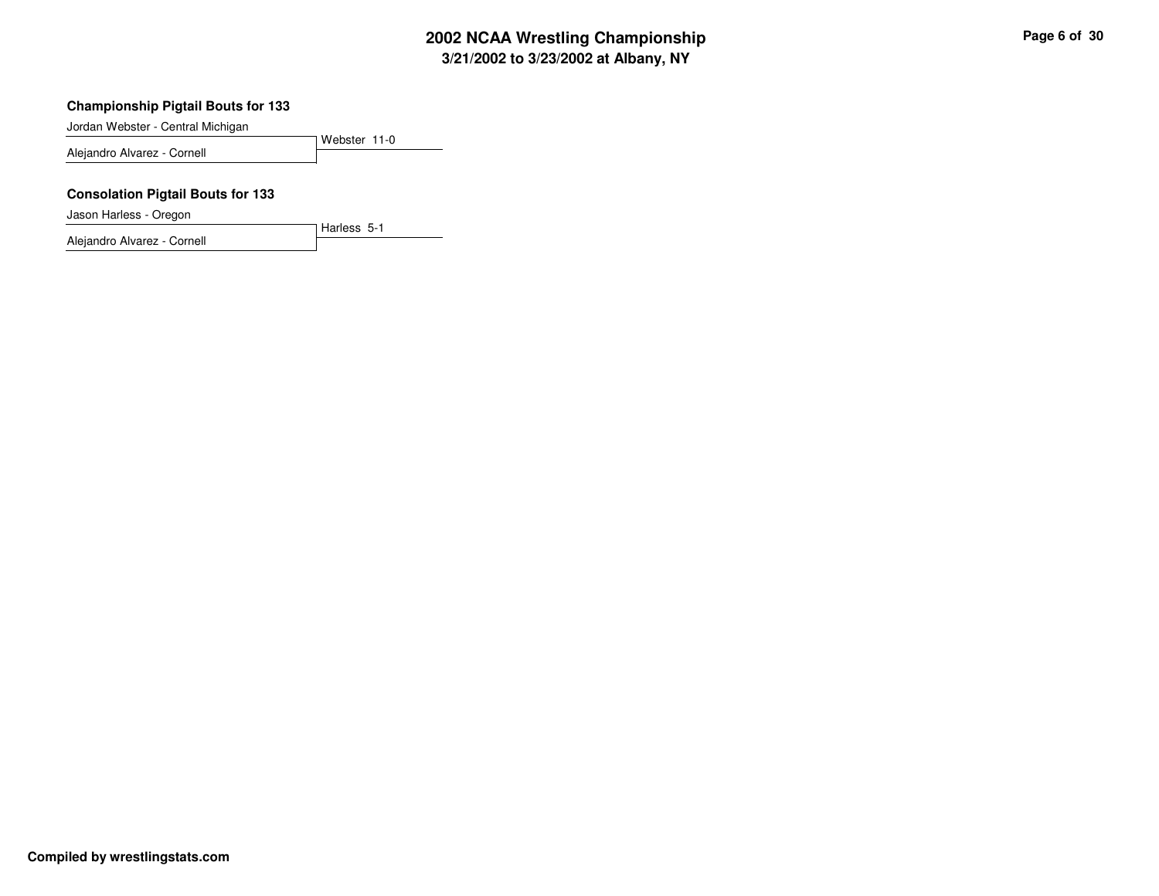# **3/21/2002 to 3/23/2002 at Albany, NY 2002 NCAA Wrestling Championship Page <sup>6</sup> of <sup>30</sup>**

#### **Championship Pigtail Bouts for 133**

Jordan Webster - Central Michigan

Webster 11-0Alejandro Alvarez - Cornell

Harless 5-1

#### **Consolation Pigtail Bouts for 133**

Jason Harless - Oregon

Alejandro Alvarez - Cornell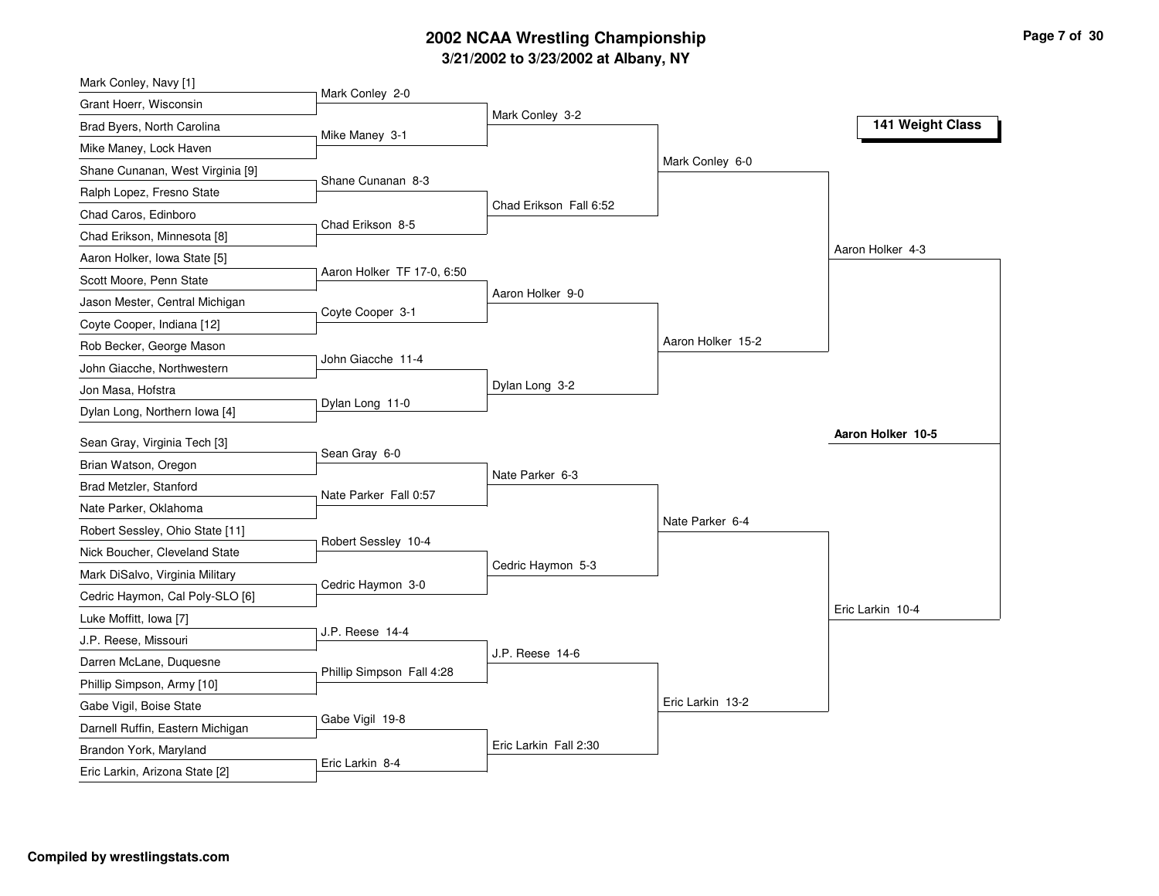# **3/21/2002 to 3/23/2002 at Albany, NY 2002 NCAA Wrestling Championship Page <sup>7</sup> of <sup>30</sup>**

| Mark Conley, Navy [1]                                    |                            |                        |                   |                   |
|----------------------------------------------------------|----------------------------|------------------------|-------------------|-------------------|
| Grant Hoerr, Wisconsin                                   | Mark Conley 2-0            |                        |                   |                   |
| Brad Byers, North Carolina                               | Mike Maney 3-1             | Mark Conley 3-2        |                   | 141 Weight Class  |
| Mike Maney, Lock Haven                                   |                            |                        |                   |                   |
| Shane Cunanan, West Virginia [9]                         |                            |                        | Mark Conley 6-0   |                   |
| Ralph Lopez, Fresno State                                | Shane Cunanan 8-3          |                        |                   |                   |
| Chad Caros, Edinboro                                     |                            | Chad Erikson Fall 6:52 |                   |                   |
| Chad Erikson, Minnesota [8]                              | Chad Erikson 8-5           |                        |                   |                   |
| Aaron Holker, Iowa State [5]                             |                            |                        |                   | Aaron Holker 4-3  |
| Scott Moore, Penn State                                  | Aaron Holker TF 17-0, 6:50 |                        |                   |                   |
| Jason Mester, Central Michigan                           |                            | Aaron Holker 9-0       |                   |                   |
| Coyte Cooper, Indiana [12]                               | Coyte Cooper 3-1           |                        |                   |                   |
| Rob Becker, George Mason                                 |                            |                        | Aaron Holker 15-2 |                   |
| John Giacche, Northwestern                               | John Giacche 11-4          |                        |                   |                   |
| Jon Masa, Hofstra                                        |                            | Dylan Long 3-2         |                   |                   |
| Dylan Long, Northern Iowa [4]                            | Dylan Long 11-0            |                        |                   |                   |
|                                                          |                            |                        |                   | Aaron Holker 10-5 |
| Sean Gray, Virginia Tech [3]<br>Brian Watson, Oregon     | Sean Gray 6-0              |                        |                   |                   |
| Brad Metzler, Stanford                                   |                            | Nate Parker 6-3        |                   |                   |
|                                                          | Nate Parker Fall 0:57      |                        |                   |                   |
| Nate Parker, Oklahoma                                    |                            |                        | Nate Parker 6-4   |                   |
| Robert Sessley, Ohio State [11]                          | Robert Sessley 10-4        |                        |                   |                   |
| Nick Boucher, Cleveland State                            |                            | Cedric Haymon 5-3      |                   |                   |
| Mark DiSalvo, Virginia Military                          | Cedric Haymon 3-0          |                        |                   |                   |
| Cedric Haymon, Cal Poly-SLO [6]                          |                            |                        |                   | Eric Larkin 10-4  |
| Luke Moffitt, Iowa [7]                                   | J.P. Reese 14-4            |                        |                   |                   |
| J.P. Reese, Missouri                                     |                            |                        |                   |                   |
|                                                          |                            | J.P. Reese 14-6        |                   |                   |
| Darren McLane, Duquesne                                  | Phillip Simpson Fall 4:28  |                        |                   |                   |
| Phillip Simpson, Army [10]                               |                            |                        |                   |                   |
| Gabe Vigil, Boise State                                  | Gabe Vigil 19-8            |                        | Eric Larkin 13-2  |                   |
| Darnell Ruffin, Eastern Michigan                         |                            |                        |                   |                   |
| Brandon York, Maryland<br>Eric Larkin, Arizona State [2] | Eric Larkin 8-4            | Eric Larkin Fall 2:30  |                   |                   |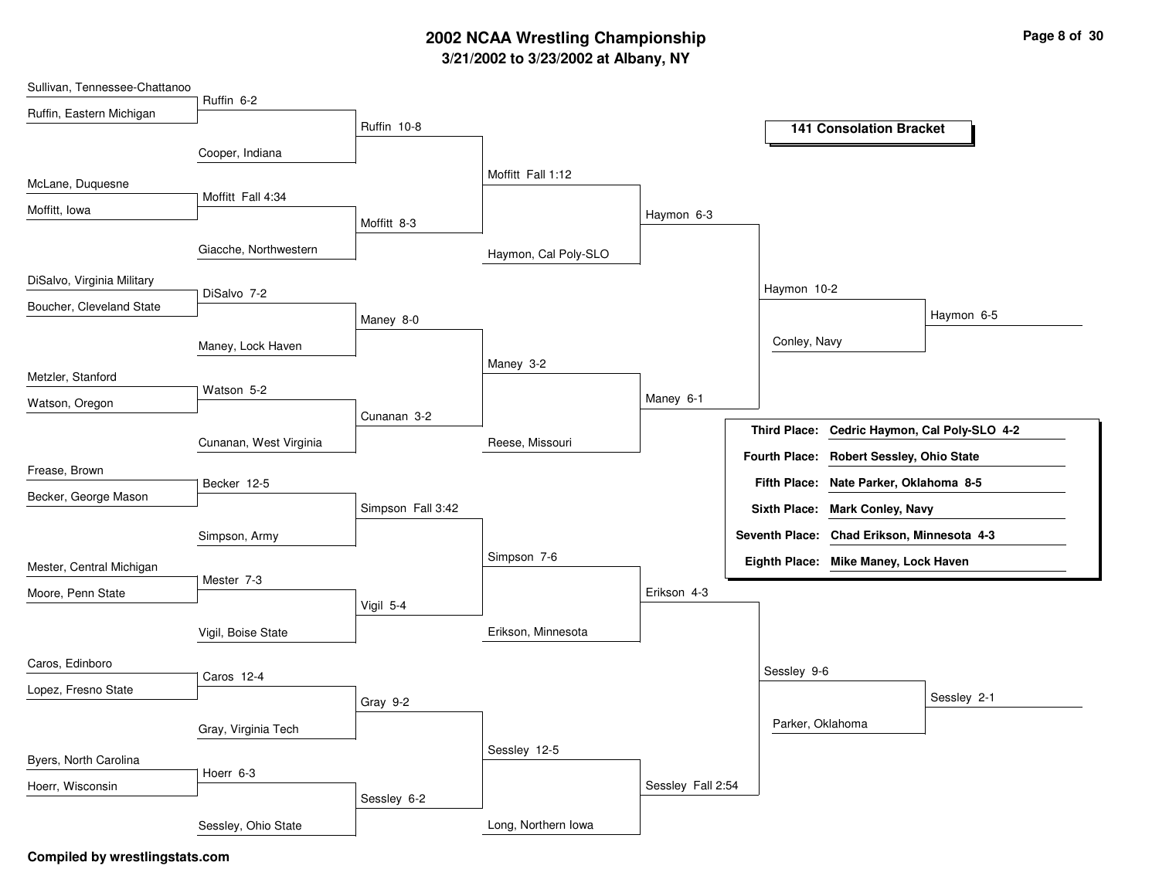# **3/21/2002 to 3/23/2002 at Albany, NY 2002 NCAA Wrestling Championship Page <sup>8</sup> of <sup>30</sup>**

| Sullivan, Tennessee-Chattanoo |                        |                   |                      |                   |                  |                                            |                                              |
|-------------------------------|------------------------|-------------------|----------------------|-------------------|------------------|--------------------------------------------|----------------------------------------------|
| Ruffin, Eastern Michigan      | Ruffin 6-2             |                   |                      |                   |                  |                                            |                                              |
|                               |                        | Ruffin 10-8       |                      |                   |                  | <b>141 Consolation Bracket</b>             |                                              |
|                               | Cooper, Indiana        |                   |                      |                   |                  |                                            |                                              |
|                               |                        |                   | Moffitt Fall 1:12    |                   |                  |                                            |                                              |
| McLane, Duquesne              | Moffitt Fall 4:34      |                   |                      |                   |                  |                                            |                                              |
| Moffitt, Iowa                 |                        |                   |                      | Haymon 6-3        |                  |                                            |                                              |
|                               |                        | Moffitt 8-3       |                      |                   |                  |                                            |                                              |
|                               | Giacche, Northwestern  |                   | Haymon, Cal Poly-SLO |                   |                  |                                            |                                              |
| DiSalvo, Virginia Military    |                        |                   |                      |                   |                  |                                            |                                              |
|                               | DiSalvo 7-2            |                   |                      |                   | Haymon 10-2      |                                            |                                              |
| Boucher, Cleveland State      |                        | Maney 8-0         |                      |                   |                  |                                            | Haymon 6-5                                   |
|                               | Maney, Lock Haven      |                   |                      |                   | Conley, Navy     |                                            |                                              |
|                               |                        |                   | Maney 3-2            |                   |                  |                                            |                                              |
| Metzler, Stanford             | Watson 5-2             |                   |                      |                   |                  |                                            |                                              |
| Watson, Oregon                |                        |                   |                      | Maney 6-1         |                  |                                            |                                              |
|                               |                        | Cunanan 3-2       |                      |                   |                  |                                            | Third Place: Cedric Haymon, Cal Poly-SLO 4-2 |
|                               | Cunanan, West Virginia |                   | Reese, Missouri      |                   |                  | Fourth Place: Robert Sessley, Ohio State   |                                              |
| Frease, Brown                 |                        |                   |                      |                   |                  |                                            |                                              |
| Becker, George Mason          | Becker 12-5            |                   |                      |                   |                  | Fifth Place: Nate Parker, Oklahoma 8-5     |                                              |
|                               |                        | Simpson Fall 3:42 |                      |                   |                  | Sixth Place: Mark Conley, Navy             |                                              |
|                               | Simpson, Army          |                   |                      |                   |                  | Seventh Place: Chad Erikson, Minnesota 4-3 |                                              |
|                               |                        |                   | Simpson 7-6          |                   |                  | Eighth Place: Mike Maney, Lock Haven       |                                              |
| Mester, Central Michigan      | Mester 7-3             |                   |                      |                   |                  |                                            |                                              |
| Moore, Penn State             |                        | Vigil 5-4         |                      | Erikson 4-3       |                  |                                            |                                              |
|                               |                        |                   |                      |                   |                  |                                            |                                              |
|                               | Vigil, Boise State     |                   | Erikson, Minnesota   |                   |                  |                                            |                                              |
| Caros, Edinboro               |                        |                   |                      |                   |                  |                                            |                                              |
| Lopez, Fresno State           | Caros 12-4             |                   |                      |                   | Sessley 9-6      |                                            |                                              |
|                               |                        | Gray 9-2          |                      |                   |                  |                                            | Sessley 2-1                                  |
|                               | Gray, Virginia Tech    |                   |                      |                   | Parker, Oklahoma |                                            |                                              |
|                               |                        |                   | Sessley 12-5         |                   |                  |                                            |                                              |
| Byers, North Carolina         | Hoerr 6-3              |                   |                      |                   |                  |                                            |                                              |
| Hoerr, Wisconsin              |                        |                   |                      | Sessley Fall 2:54 |                  |                                            |                                              |
|                               |                        | Sessley 6-2       |                      |                   |                  |                                            |                                              |
|                               | Sessley, Ohio State    |                   | Long, Northern Iowa  |                   |                  |                                            |                                              |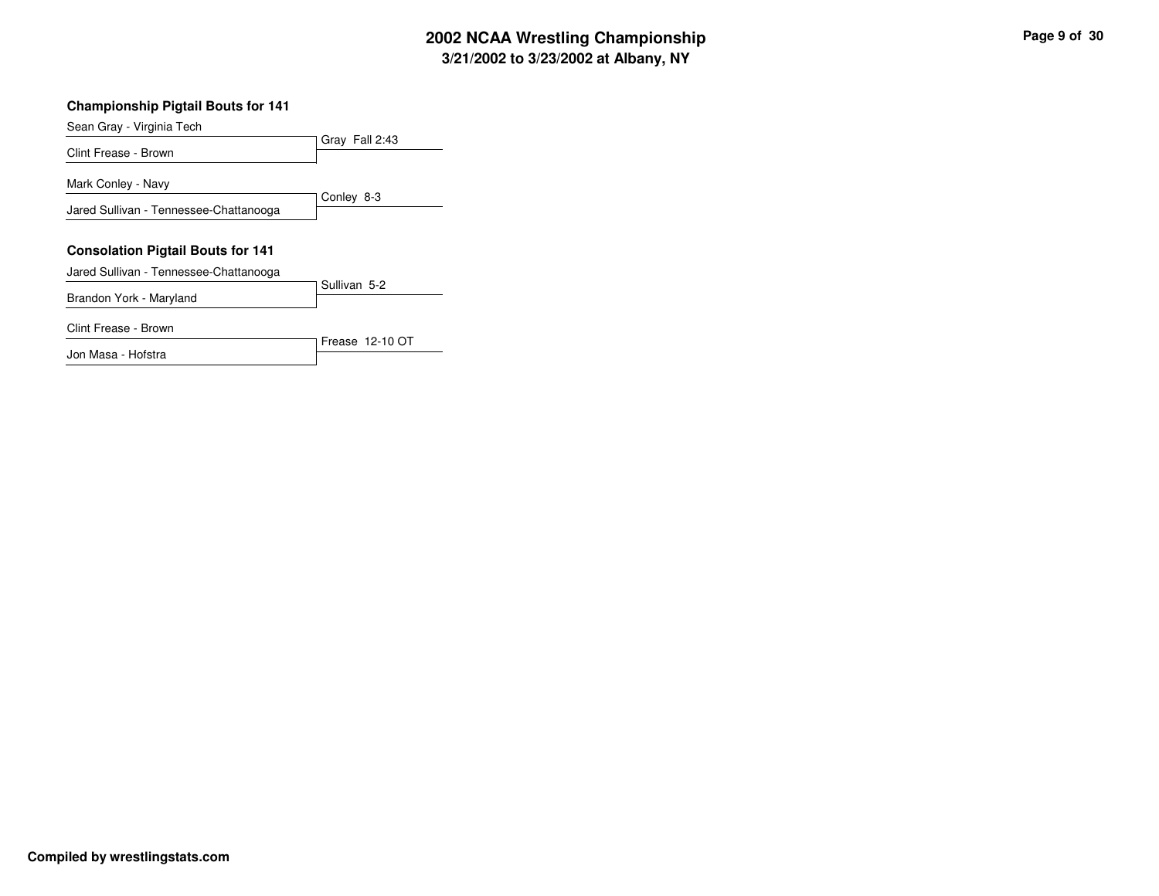# **3/21/2002 to 3/23/2002 at Albany, NY 2002 NCAA Wrestling Championship Page <sup>9</sup> of <sup>30</sup>**

#### **Championship Pigtail Bouts for 141**

Sean Gray - Virginia Tech

Gray Fall 2:43 Clint Frease - Brown Conley 8-3 Mark Conley - Navy Jared Sullivan - Tennessee-Chattanooga **Consolation Pigtail Bouts for 141** Jared Sullivan - Tennessee-Chattanooga

Sullivan 5-2 Brandon York - Maryland

Frease 12-10 OT Clint Frease - Brown Jon Masa - Hofstra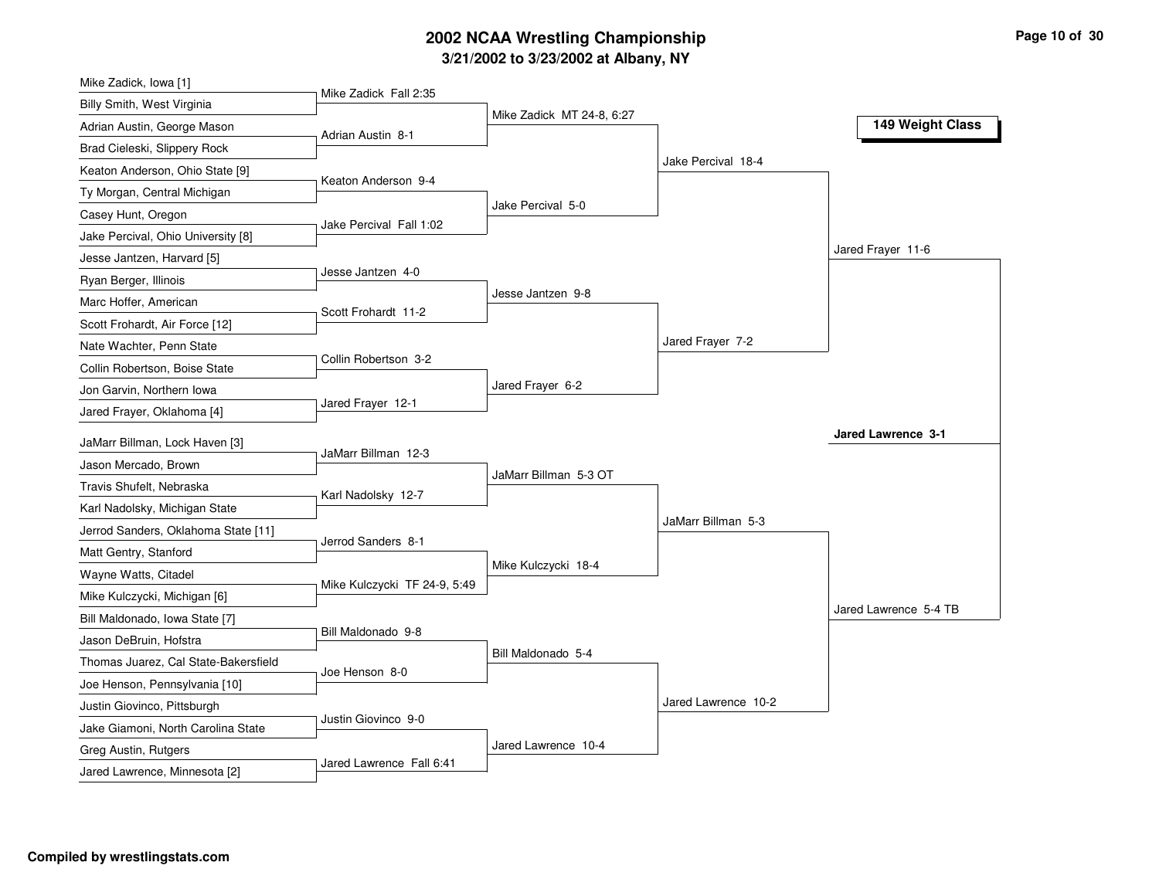# **3/21/2002 to 3/23/2002 at Albany, NY 2002 NCAA Wrestling Championship Page <sup>10</sup> of <sup>30</sup>**

| Mike Zadick, Iowa [1]                                 |                              |                           |                     |                       |
|-------------------------------------------------------|------------------------------|---------------------------|---------------------|-----------------------|
| Billy Smith, West Virginia                            | Mike Zadick Fall 2:35        |                           |                     |                       |
| Adrian Austin, George Mason                           | Adrian Austin 8-1            | Mike Zadick MT 24-8, 6:27 |                     | 149 Weight Class      |
| Brad Cieleski, Slippery Rock                          |                              |                           |                     |                       |
| Keaton Anderson, Ohio State [9]                       |                              |                           | Jake Percival 18-4  |                       |
| Ty Morgan, Central Michigan                           | Keaton Anderson 9-4          |                           |                     |                       |
| Casey Hunt, Oregon                                    |                              | Jake Percival 5-0         |                     |                       |
| Jake Percival, Ohio University [8]                    | Jake Percival Fall 1:02      |                           |                     |                       |
| Jesse Jantzen, Harvard [5]                            |                              |                           |                     | Jared Frayer 11-6     |
| Ryan Berger, Illinois                                 | Jesse Jantzen 4-0            |                           |                     |                       |
| Marc Hoffer, American                                 |                              | Jesse Jantzen 9-8         |                     |                       |
| Scott Frohardt, Air Force [12]                        | Scott Frohardt 11-2          |                           |                     |                       |
| Nate Wachter, Penn State                              |                              |                           | Jared Frayer 7-2    |                       |
| Collin Robertson, Boise State                         | Collin Robertson 3-2         |                           |                     |                       |
| Jon Garvin, Northern Iowa                             |                              | Jared Frayer 6-2          |                     |                       |
| Jared Frayer, Oklahoma [4]                            | Jared Frayer 12-1            |                           |                     |                       |
| JaMarr Billman, Lock Haven [3]                        |                              |                           |                     | Jared Lawrence 3-1    |
| Jason Mercado, Brown                                  | JaMarr Billman 12-3          |                           |                     |                       |
|                                                       |                              | JaMarr Billman 5-3 OT     |                     |                       |
|                                                       |                              |                           |                     |                       |
| Travis Shufelt, Nebraska                              | Karl Nadolsky 12-7           |                           |                     |                       |
| Karl Nadolsky, Michigan State                         |                              |                           | JaMarr Billman 5-3  |                       |
| Jerrod Sanders, Oklahoma State [11]                   | Jerrod Sanders 8-1           |                           |                     |                       |
| Matt Gentry, Stanford                                 |                              | Mike Kulczycki 18-4       |                     |                       |
| Wayne Watts, Citadel                                  | Mike Kulczycki TF 24-9, 5:49 |                           |                     |                       |
| Mike Kulczycki, Michigan [6]                          |                              |                           |                     | Jared Lawrence 5-4 TB |
| Bill Maldonado, Iowa State [7]                        | Bill Maldonado 9-8           |                           |                     |                       |
| Jason DeBruin, Hofstra                                |                              | Bill Maldonado 5-4        |                     |                       |
| Thomas Juarez, Cal State-Bakersfield                  | Joe Henson 8-0               |                           |                     |                       |
| Joe Henson, Pennsylvania [10]                         |                              |                           |                     |                       |
| Justin Giovinco, Pittsburgh                           | Justin Giovinco 9-0          |                           | Jared Lawrence 10-2 |                       |
| Jake Giamoni, North Carolina State                    |                              |                           |                     |                       |
| Greg Austin, Rutgers<br>Jared Lawrence, Minnesota [2] | Jared Lawrence Fall 6:41     | Jared Lawrence 10-4       |                     |                       |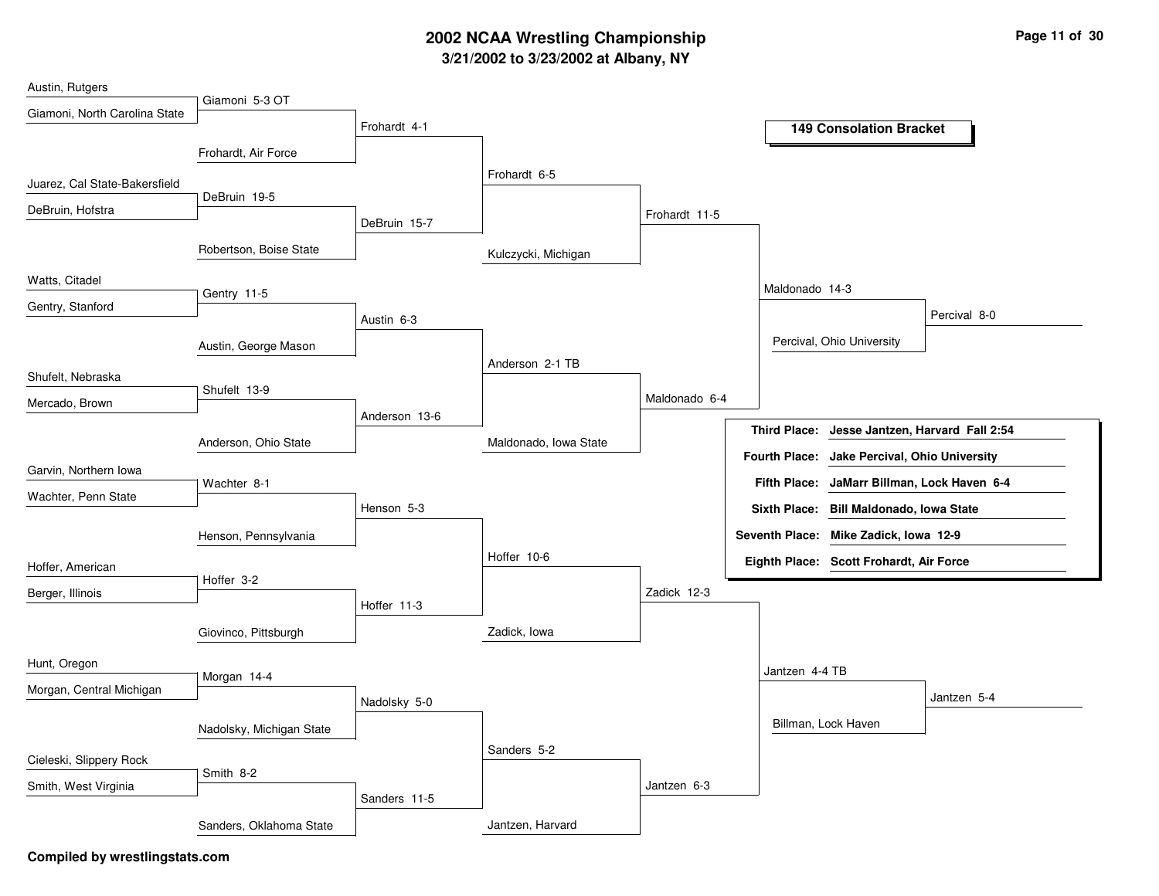# **3/21/2002 to 3/23/2002 at Albany, NY 2002 NCAA Wrestling Championship Page <sup>11</sup> of <sup>30</sup>**

| Austin, Rutgers               |                          |               |                       |               |                      |                                         |              |
|-------------------------------|--------------------------|---------------|-----------------------|---------------|----------------------|-----------------------------------------|--------------|
| Giamoni, North Carolina State | Giamoni 5-3 OT           |               |                       |               |                      |                                         |              |
|                               |                          | Frohardt 4-1  |                       |               |                      | <b>149 Consolation Bracket</b>          |              |
|                               | Frohardt, Air Force      |               |                       |               |                      |                                         |              |
| Juarez, Cal State-Bakersfield |                          |               | Frohardt 6-5          |               |                      |                                         |              |
|                               | DeBruin 19-5             |               |                       |               |                      |                                         |              |
| DeBruin, Hofstra              |                          | DeBruin 15-7  |                       | Frohardt 11-5 |                      |                                         |              |
|                               | Robertson, Boise State   |               | Kulczycki, Michigan   |               |                      |                                         |              |
| Watts, Citadel                | Gentry 11-5              |               |                       |               | Maldonado 14-3       |                                         |              |
| Gentry, Stanford              |                          |               |                       |               |                      |                                         | Percival 8-0 |
|                               |                          | Austin 6-3    |                       |               |                      |                                         |              |
|                               | Austin, George Mason     |               |                       |               |                      | Percival, Ohio University               |              |
| Shufelt, Nebraska             |                          |               | Anderson 2-1 TB       |               |                      |                                         |              |
| Mercado, Brown                | Shufelt 13-9             |               |                       | Maldonado 6-4 |                      |                                         |              |
|                               |                          | Anderson 13-6 |                       |               | <b>Third Place:</b>  |                                         |              |
|                               | Anderson, Ohio State     |               | Maldonado, Iowa State |               |                      | Jesse Jantzen, Harvard Fall 2:54        |              |
| Garvin, Northern Iowa         |                          |               |                       |               | <b>Fourth Place:</b> | Jake Percival, Ohio University          |              |
| Wachter, Penn State           | Wachter 8-1              |               |                       |               | <b>Fifth Place:</b>  | JaMarr Billman, Lock Haven 6-4          |              |
|                               |                          | Henson 5-3    |                       |               |                      | Sixth Place: Bill Maldonado, Iowa State |              |
|                               | Henson, Pennsylvania     |               |                       |               |                      | Seventh Place: Mike Zadick, Iowa 12-9   |              |
|                               |                          |               | Hoffer 10-6           |               |                      | Eighth Place: Scott Frohardt, Air Force |              |
| Hoffer, American              | Hoffer 3-2               |               |                       |               |                      |                                         |              |
| Berger, Illinois              |                          | Hoffer 11-3   |                       | Zadick 12-3   |                      |                                         |              |
|                               |                          |               |                       |               |                      |                                         |              |
|                               | Giovinco, Pittsburgh     |               | Zadick, Iowa          |               |                      |                                         |              |
| Hunt, Oregon                  |                          |               |                       |               | Jantzen 4-4 TB       |                                         |              |
| Morgan, Central Michigan      | Morgan 14-4              |               |                       |               |                      |                                         |              |
|                               |                          | Nadolsky 5-0  |                       |               |                      |                                         | Jantzen 5-4  |
|                               | Nadolsky, Michigan State |               |                       |               |                      | Billman, Lock Haven                     |              |
| Cieleski, Slippery Rock       |                          |               | Sanders 5-2           |               |                      |                                         |              |
|                               | Smith 8-2                |               |                       |               |                      |                                         |              |
| Smith, West Virginia          |                          | Sanders 11-5  |                       | Jantzen 6-3   |                      |                                         |              |
|                               | Sanders, Oklahoma State  |               | Jantzen, Harvard      |               |                      |                                         |              |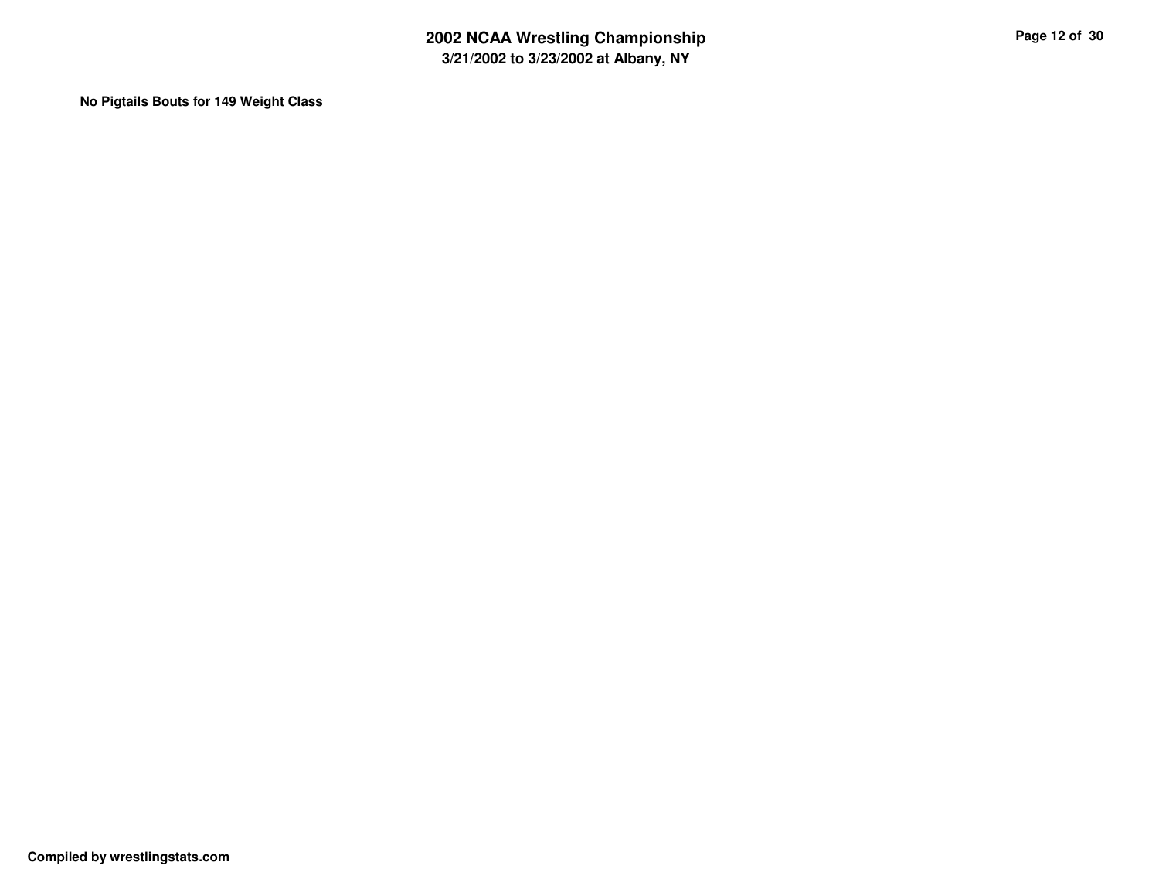**No Pigtails Bouts for 149 Weight Class**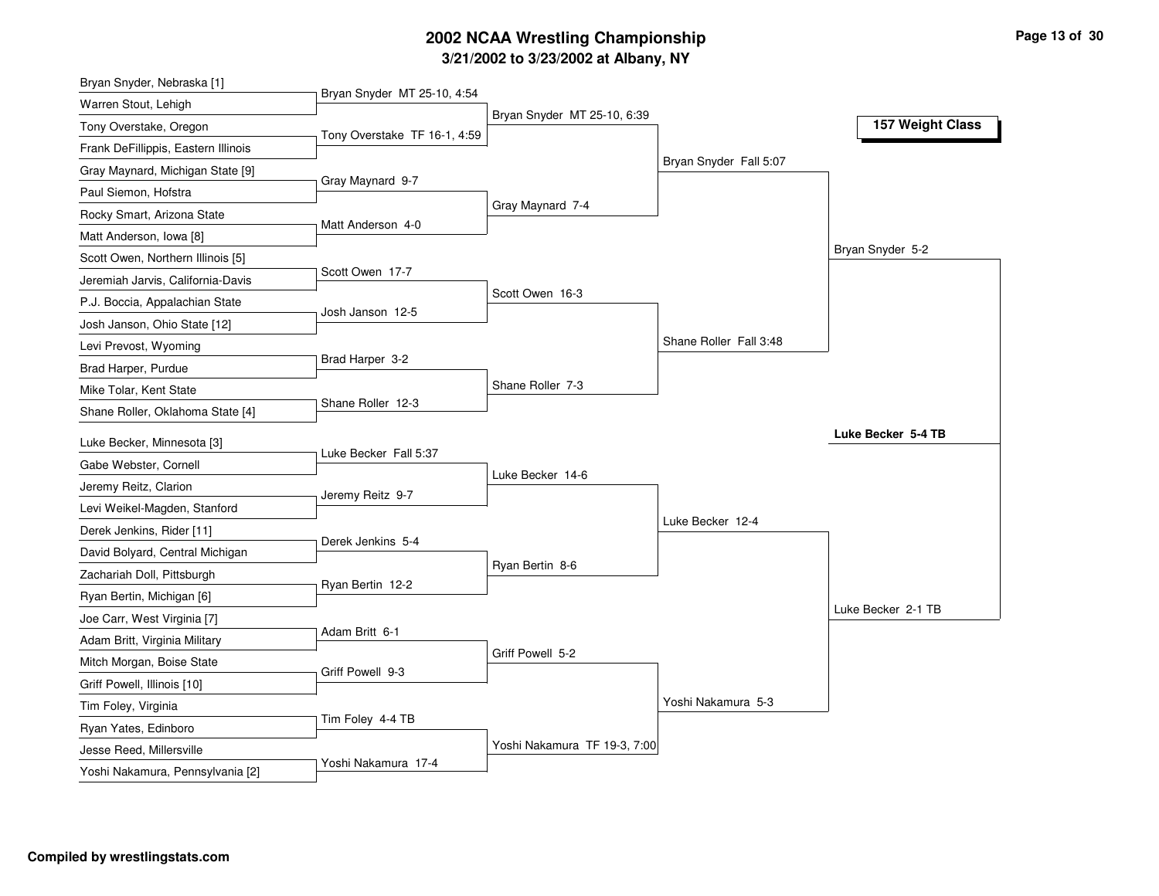# **3/21/2002 to 3/23/2002 at Albany, NY 2002 NCAA Wrestling Championship Page <sup>13</sup> of <sup>30</sup>**

| Bryan Snyder, Nebraska [1]                       |                              |                              |                        |                    |
|--------------------------------------------------|------------------------------|------------------------------|------------------------|--------------------|
| Warren Stout, Lehigh                             | Bryan Snyder MT 25-10, 4:54  |                              |                        |                    |
| Tony Overstake, Oregon                           | Tony Overstake TF 16-1, 4:59 | Bryan Snyder MT 25-10, 6:39  |                        | 157 Weight Class   |
| Frank DeFillippis, Eastern Illinois              |                              |                              |                        |                    |
| Gray Maynard, Michigan State [9]                 |                              |                              | Bryan Snyder Fall 5:07 |                    |
| Paul Siemon, Hofstra                             | Gray Maynard 9-7             |                              |                        |                    |
| Rocky Smart, Arizona State                       |                              | Gray Maynard 7-4             |                        |                    |
| Matt Anderson, Iowa [8]                          | Matt Anderson 4-0            |                              |                        |                    |
| Scott Owen, Northern Illinois [5]                |                              |                              |                        | Bryan Snyder 5-2   |
| Jeremiah Jarvis, California-Davis                | Scott Owen 17-7              |                              |                        |                    |
| P.J. Boccia, Appalachian State                   |                              | Scott Owen 16-3              |                        |                    |
| Josh Janson, Ohio State [12]                     | Josh Janson 12-5             |                              |                        |                    |
| Levi Prevost, Wyoming                            |                              |                              | Shane Roller Fall 3:48 |                    |
| Brad Harper, Purdue                              | Brad Harper 3-2              |                              |                        |                    |
| Mike Tolar, Kent State                           |                              | Shane Roller 7-3             |                        |                    |
| Shane Roller, Oklahoma State [4]                 | Shane Roller 12-3            |                              |                        |                    |
| Luke Becker, Minnesota [3]                       |                              |                              |                        | Luke Becker 5-4 TB |
| Gabe Webster, Cornell                            | Luke Becker Fall 5:37        |                              |                        |                    |
| Jeremy Reitz, Clarion                            |                              | Luke Becker 14-6             |                        |                    |
| Levi Weikel-Magden, Stanford                     | Jeremy Reitz 9-7             |                              |                        |                    |
| Derek Jenkins, Rider [11]                        |                              |                              | Luke Becker 12-4       |                    |
| David Bolyard, Central Michigan                  | Derek Jenkins 5-4            |                              |                        |                    |
| Zachariah Doll, Pittsburgh                       |                              | Ryan Bertin 8-6              |                        |                    |
| Ryan Bertin, Michigan [6]                        | Ryan Bertin 12-2             |                              |                        |                    |
| Joe Carr, West Virginia [7]                      |                              |                              |                        | Luke Becker 2-1 TB |
| Adam Britt, Virginia Military                    | Adam Britt 6-1               |                              |                        |                    |
| Mitch Morgan, Boise State                        |                              | Griff Powell 5-2             |                        |                    |
| Griff Powell, Illinois [10]                      | Griff Powell 9-3             |                              |                        |                    |
| Tim Foley, Virginia                              |                              |                              | Yoshi Nakamura 5-3     |                    |
|                                                  |                              |                              |                        |                    |
|                                                  | Tim Foley 4-4 TB             |                              |                        |                    |
| Ryan Yates, Edinboro<br>Jesse Reed, Millersville |                              | Yoshi Nakamura TF 19-3, 7:00 |                        |                    |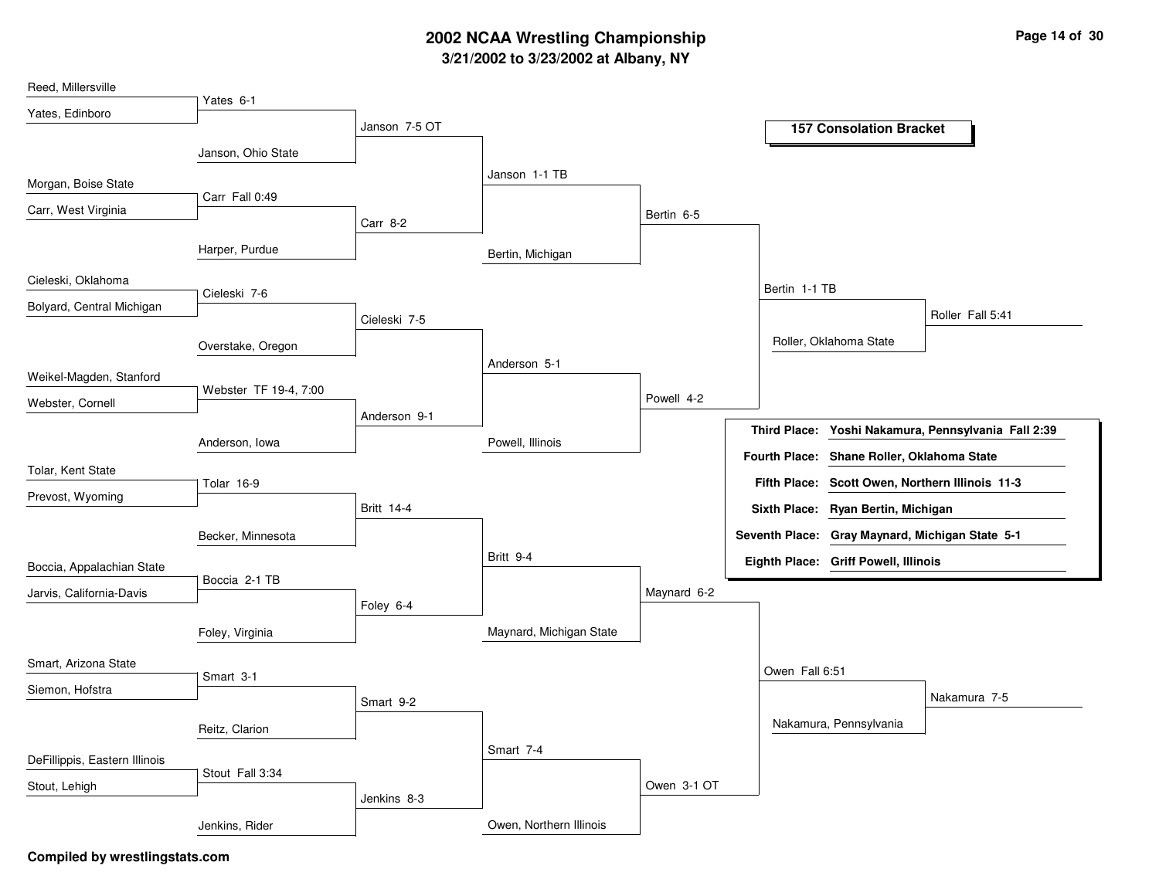# **3/21/2002 to 3/23/2002 at Albany, NY 2002 NCAA Wrestling Championship Page <sup>14</sup> of <sup>30</sup>**

| Reed, Millersville            |                       |                   |                         |             |                |                                                 |                                                     |
|-------------------------------|-----------------------|-------------------|-------------------------|-------------|----------------|-------------------------------------------------|-----------------------------------------------------|
| Yates, Edinboro               | Yates 6-1             |                   |                         |             |                |                                                 |                                                     |
|                               |                       | Janson 7-5 OT     |                         |             |                | <b>157 Consolation Bracket</b>                  |                                                     |
|                               | Janson, Ohio State    |                   |                         |             |                |                                                 |                                                     |
| Morgan, Boise State           |                       |                   | Janson 1-1 TB           |             |                |                                                 |                                                     |
| Carr, West Virginia           | Carr Fall 0:49        |                   |                         |             |                |                                                 |                                                     |
|                               |                       | Carr 8-2          |                         | Bertin 6-5  |                |                                                 |                                                     |
|                               | Harper, Purdue        |                   | Bertin, Michigan        |             |                |                                                 |                                                     |
| Cieleski, Oklahoma            | Cieleski 7-6          |                   |                         |             | Bertin 1-1 TB  |                                                 |                                                     |
| Bolyard, Central Michigan     |                       |                   |                         |             |                |                                                 | Roller Fall 5:41                                    |
|                               |                       | Cieleski 7-5      |                         |             |                |                                                 |                                                     |
|                               | Overstake, Oregon     |                   |                         |             |                | Roller, Oklahoma State                          |                                                     |
| Weikel-Magden, Stanford       |                       |                   | Anderson 5-1            |             |                |                                                 |                                                     |
| Webster, Cornell              | Webster TF 19-4, 7:00 |                   |                         | Powell 4-2  |                |                                                 |                                                     |
|                               |                       | Anderson 9-1      |                         |             |                |                                                 | Third Place: Yoshi Nakamura, Pennsylvania Fall 2:39 |
|                               | Anderson, Iowa        |                   | Powell, Illinois        |             |                |                                                 |                                                     |
| Tolar, Kent State             |                       |                   |                         |             |                | Fourth Place: Shane Roller, Oklahoma State      |                                                     |
| Prevost, Wyoming              | Tolar 16-9            |                   |                         |             |                | Fifth Place: Scott Owen, Northern Illinois 11-3 |                                                     |
|                               |                       | <b>Britt 14-4</b> |                         |             |                | Sixth Place: Ryan Bertin, Michigan              |                                                     |
|                               | Becker, Minnesota     |                   |                         |             |                | Seventh Place: Gray Maynard, Michigan State 5-1 |                                                     |
| Boccia, Appalachian State     |                       |                   | Britt 9-4               |             |                | Eighth Place: Griff Powell, Illinois            |                                                     |
|                               | Boccia 2-1 TB         |                   |                         | Maynard 6-2 |                |                                                 |                                                     |
| Jarvis, California-Davis      |                       | Foley 6-4         |                         |             |                |                                                 |                                                     |
|                               | Foley, Virginia       |                   | Maynard, Michigan State |             |                |                                                 |                                                     |
| Smart, Arizona State          |                       |                   |                         |             | Owen Fall 6:51 |                                                 |                                                     |
| Siemon, Hofstra               | Smart 3-1             |                   |                         |             |                |                                                 |                                                     |
|                               |                       | Smart 9-2         |                         |             |                |                                                 | Nakamura 7-5                                        |
|                               | Reitz, Clarion        |                   |                         |             |                | Nakamura, Pennsylvania                          |                                                     |
| DeFillippis, Eastern Illinois |                       |                   | Smart 7-4               |             |                |                                                 |                                                     |
| Stout, Lehigh                 | Stout Fall 3:34       |                   |                         | Owen 3-1 OT |                |                                                 |                                                     |
|                               |                       | Jenkins 8-3       |                         |             |                |                                                 |                                                     |
|                               | Jenkins, Rider        |                   | Owen, Northern Illinois |             |                |                                                 |                                                     |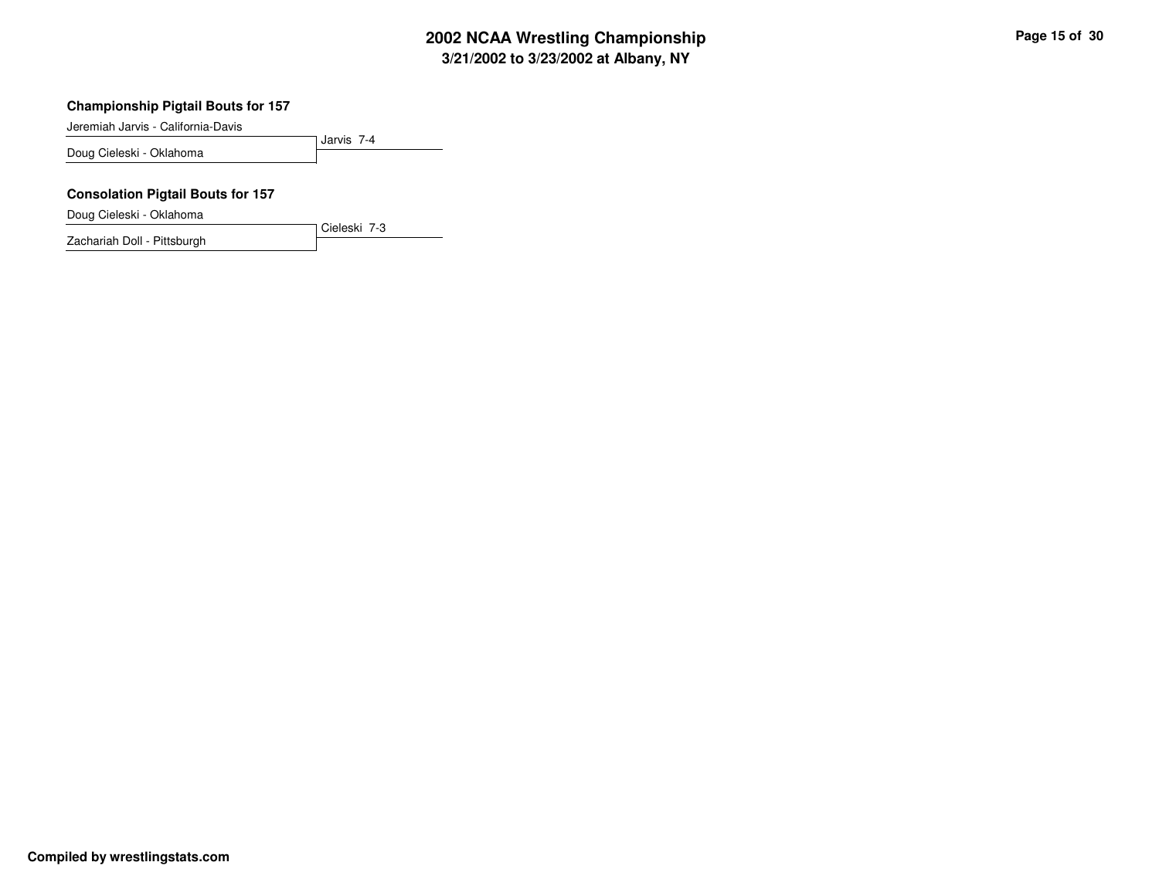# **3/21/2002 to 3/23/2002 at Albany, NY 2002 NCAA Wrestling Championship Page <sup>15</sup> of <sup>30</sup>**

#### **Championship Pigtail Bouts for 157**

Jeremiah Jarvis - California-Davis

Jarvis 7-4 Doug Cieleski - Oklahoma

Cieleski 7-3

#### **Consolation Pigtail Bouts for 157**

Doug Cieleski - Oklahoma

Zachariah Doll - Pittsburgh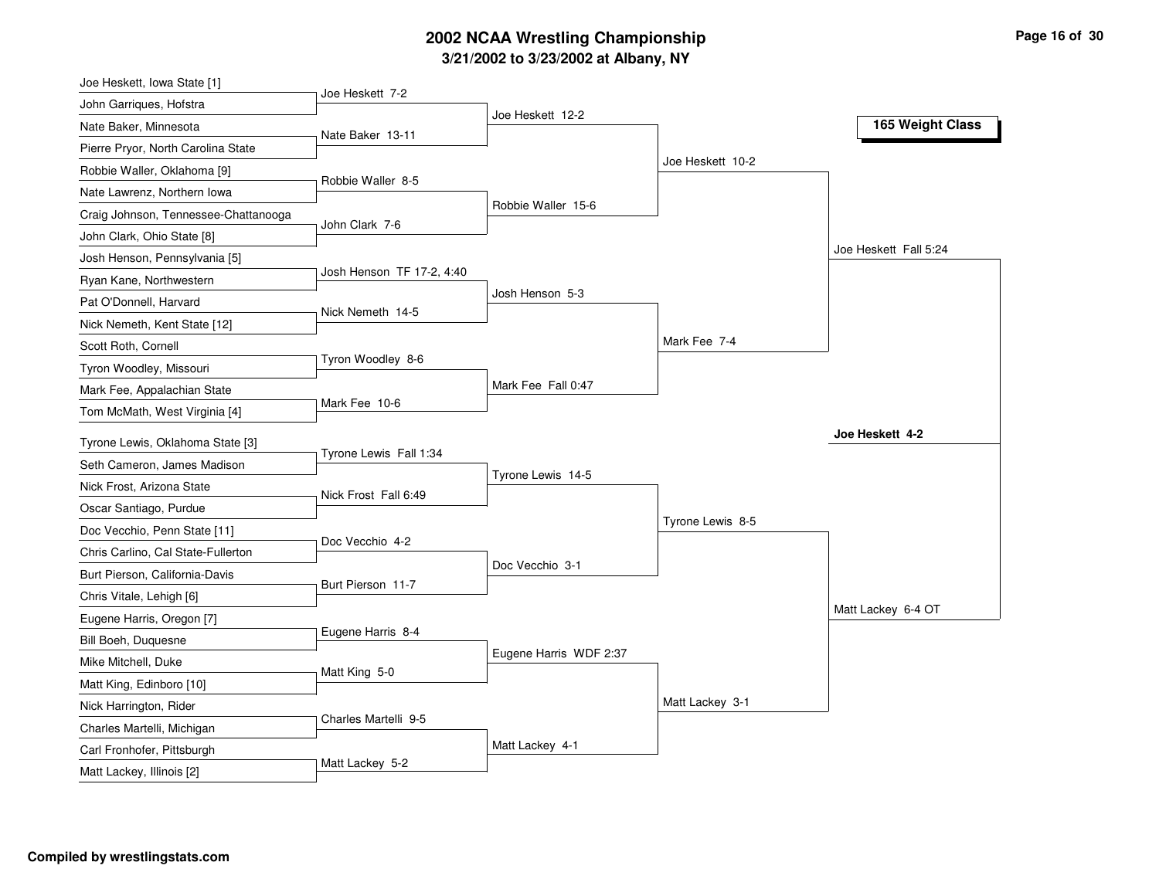# **3/21/2002 to 3/23/2002 at Albany, NY 2002 NCAA Wrestling Championship Page <sup>16</sup> of <sup>30</sup>**

| Joe Heskett, Iowa State [1]          |                           |                        |                  |                       |
|--------------------------------------|---------------------------|------------------------|------------------|-----------------------|
| John Garriques, Hofstra              | Joe Heskett 7-2           |                        |                  |                       |
| Nate Baker, Minnesota                | Nate Baker 13-11          | Joe Heskett 12-2       |                  | 165 Weight Class      |
| Pierre Pryor, North Carolina State   |                           |                        |                  |                       |
| Robbie Waller, Oklahoma [9]          |                           |                        | Joe Heskett 10-2 |                       |
| Nate Lawrenz, Northern Iowa          | Robbie Waller 8-5         |                        |                  |                       |
| Craig Johnson, Tennessee-Chattanooga |                           | Robbie Waller 15-6     |                  |                       |
| John Clark, Ohio State [8]           | John Clark 7-6            |                        |                  |                       |
| Josh Henson, Pennsylvania [5]        |                           |                        |                  | Joe Heskett Fall 5:24 |
| Ryan Kane, Northwestern              | Josh Henson TF 17-2, 4:40 |                        |                  |                       |
| Pat O'Donnell, Harvard               |                           | Josh Henson 5-3        |                  |                       |
| Nick Nemeth, Kent State [12]         | Nick Nemeth 14-5          |                        |                  |                       |
| Scott Roth, Cornell                  |                           |                        | Mark Fee 7-4     |                       |
| Tyron Woodley, Missouri              | Tyron Woodley 8-6         |                        |                  |                       |
| Mark Fee, Appalachian State          |                           | Mark Fee Fall 0:47     |                  |                       |
| Tom McMath, West Virginia [4]        | Mark Fee 10-6             |                        |                  |                       |
| Tyrone Lewis, Oklahoma State [3]     |                           |                        |                  | Joe Heskett 4-2       |
| Seth Cameron, James Madison          | Tyrone Lewis Fall 1:34    |                        |                  |                       |
| Nick Frost, Arizona State            |                           | Tyrone Lewis 14-5      |                  |                       |
| Oscar Santiago, Purdue               | Nick Frost Fall 6:49      |                        |                  |                       |
| Doc Vecchio, Penn State [11]         |                           |                        | Tyrone Lewis 8-5 |                       |
| Chris Carlino, Cal State-Fullerton   | Doc Vecchio 4-2           |                        |                  |                       |
| Burt Pierson, California-Davis       |                           | Doc Vecchio 3-1        |                  |                       |
| Chris Vitale, Lehigh [6]             | Burt Pierson 11-7         |                        |                  |                       |
| Eugene Harris, Oregon [7]            |                           |                        |                  | Matt Lackey 6-4 OT    |
| Bill Boeh, Duquesne                  | Eugene Harris 8-4         |                        |                  |                       |
| Mike Mitchell, Duke                  |                           | Eugene Harris WDF 2:37 |                  |                       |
| Matt King, Edinboro [10]             | Matt King 5-0             |                        |                  |                       |
| Nick Harrington, Rider               |                           |                        | Matt Lackey 3-1  |                       |
| Charles Martelli, Michigan           | Charles Martelli 9-5      |                        |                  |                       |
| Carl Fronhofer, Pittsburgh           |                           | Matt Lackey 4-1        |                  |                       |
| Matt Lackey, Illinois [2]            | Matt Lackey 5-2           |                        |                  |                       |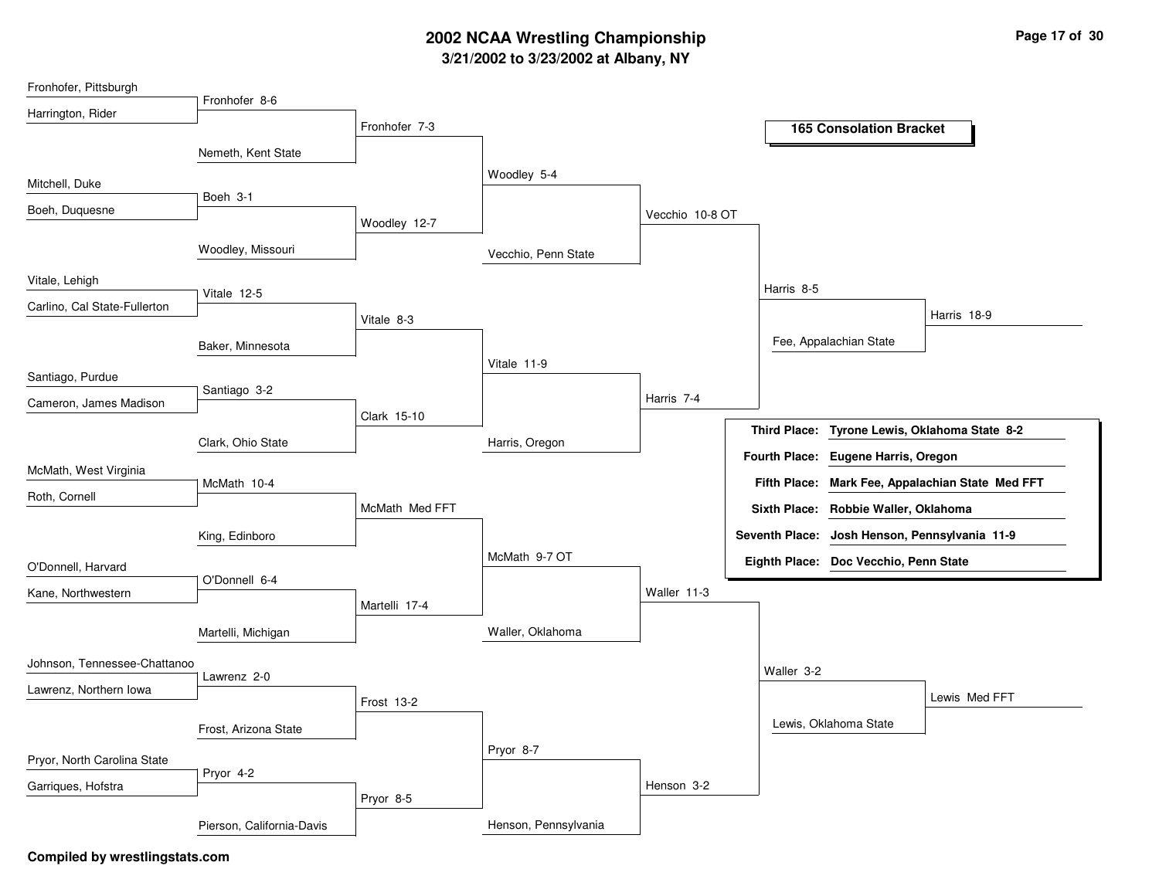# **3/21/2002 to 3/23/2002 at Albany, NY 2002 NCAA Wrestling Championship Page <sup>17</sup> of <sup>30</sup>**

| Fronhofer, Pittsburgh        |                           |                |                      |                 |                       |                                       |                                                  |
|------------------------------|---------------------------|----------------|----------------------|-----------------|-----------------------|---------------------------------------|--------------------------------------------------|
| Harrington, Rider            | Fronhofer 8-6             |                |                      |                 |                       |                                       |                                                  |
|                              |                           | Fronhofer 7-3  |                      |                 |                       | <b>165 Consolation Bracket</b>        |                                                  |
|                              | Nemeth, Kent State        |                |                      |                 |                       |                                       |                                                  |
| Mitchell, Duke               |                           |                | Woodley 5-4          |                 |                       |                                       |                                                  |
|                              | Boeh 3-1                  |                |                      |                 |                       |                                       |                                                  |
| Boeh, Duquesne               |                           | Woodley 12-7   |                      | Vecchio 10-8 OT |                       |                                       |                                                  |
|                              | Woodley, Missouri         |                | Vecchio, Penn State  |                 |                       |                                       |                                                  |
| Vitale, Lehigh               | Vitale 12-5               |                |                      |                 | Harris 8-5            |                                       |                                                  |
| Carlino, Cal State-Fullerton |                           |                |                      |                 |                       |                                       | Harris 18-9                                      |
|                              |                           | Vitale 8-3     |                      |                 |                       |                                       |                                                  |
|                              | Baker, Minnesota          |                |                      |                 |                       | Fee, Appalachian State                |                                                  |
| Santiago, Purdue             |                           |                | Vitale 11-9          |                 |                       |                                       |                                                  |
| Cameron, James Madison       | Santiago 3-2              |                |                      | Harris 7-4      |                       |                                       |                                                  |
|                              |                           | Clark 15-10    |                      |                 | <b>Third Place:</b>   |                                       | Tyrone Lewis, Oklahoma State 8-2                 |
|                              | Clark, Ohio State         |                | Harris, Oregon       |                 |                       |                                       |                                                  |
| McMath, West Virginia        |                           |                |                      |                 |                       | Fourth Place: Eugene Harris, Oregon   |                                                  |
| Roth, Cornell                | McMath 10-4               |                |                      |                 |                       |                                       | Fifth Place: Mark Fee, Appalachian State Med FFT |
|                              |                           | McMath Med FFT |                      |                 |                       | Sixth Place: Robbie Waller, Oklahoma  |                                                  |
|                              | King, Edinboro            |                |                      |                 | <b>Seventh Place:</b> |                                       | Josh Henson, Pennsylvania 11-9                   |
| O'Donnell, Harvard           |                           |                | McMath 9-7 OT        |                 |                       | Eighth Place: Doc Vecchio, Penn State |                                                  |
|                              | O'Donnell 6-4             |                |                      | Waller 11-3     |                       |                                       |                                                  |
| Kane, Northwestern           |                           | Martelli 17-4  |                      |                 |                       |                                       |                                                  |
|                              | Martelli, Michigan        |                | Waller, Oklahoma     |                 |                       |                                       |                                                  |
| Johnson, Tennessee-Chattanoo | Lawrenz 2-0               |                |                      |                 | Waller 3-2            |                                       |                                                  |
| Lawrenz, Northern Iowa       |                           |                |                      |                 |                       |                                       | Lewis Med FFT                                    |
|                              |                           | Frost 13-2     |                      |                 |                       |                                       |                                                  |
|                              | Frost, Arizona State      |                |                      |                 |                       | Lewis, Oklahoma State                 |                                                  |
| Pryor, North Carolina State  |                           |                | Pryor 8-7            |                 |                       |                                       |                                                  |
| Garriques, Hofstra           | Pryor 4-2                 |                |                      | Henson 3-2      |                       |                                       |                                                  |
|                              |                           | Pryor 8-5      |                      |                 |                       |                                       |                                                  |
|                              | Pierson, California-Davis |                | Henson, Pennsylvania |                 |                       |                                       |                                                  |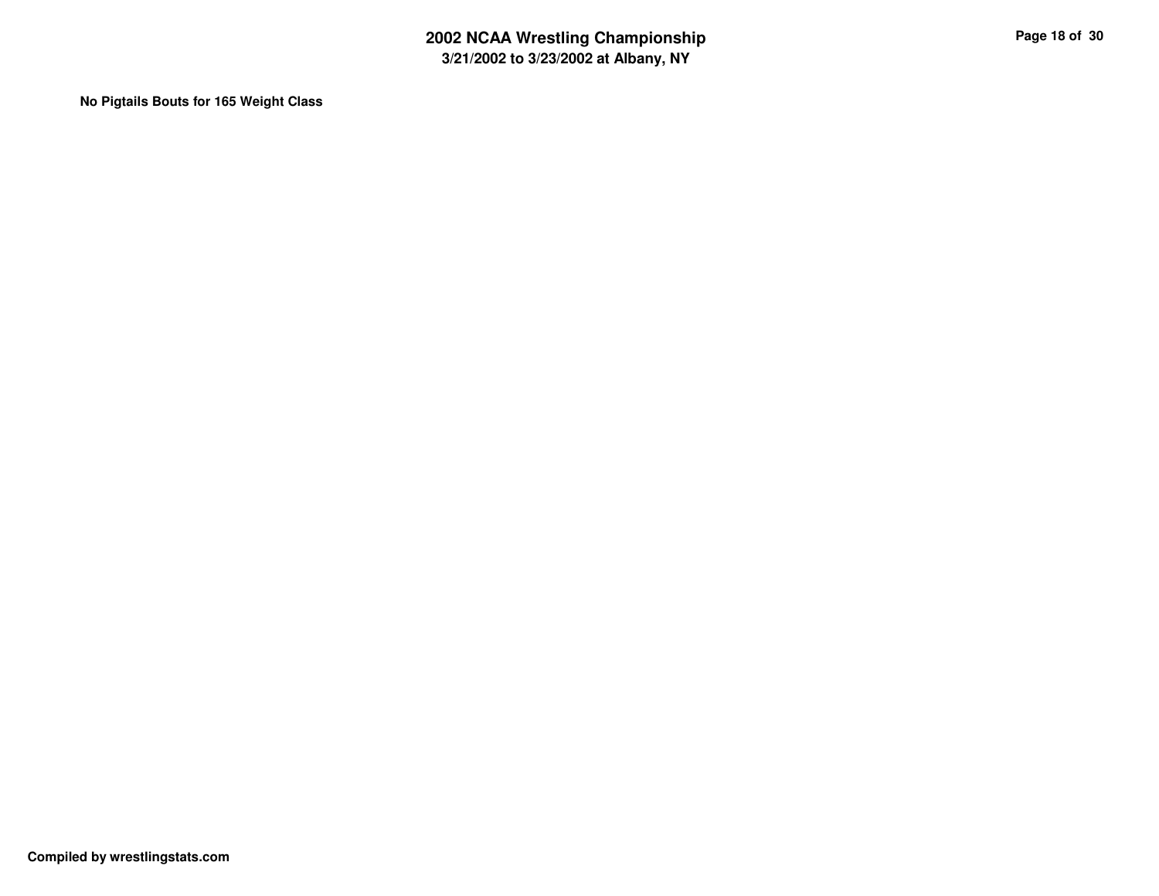**No Pigtails Bouts for 165 Weight Class**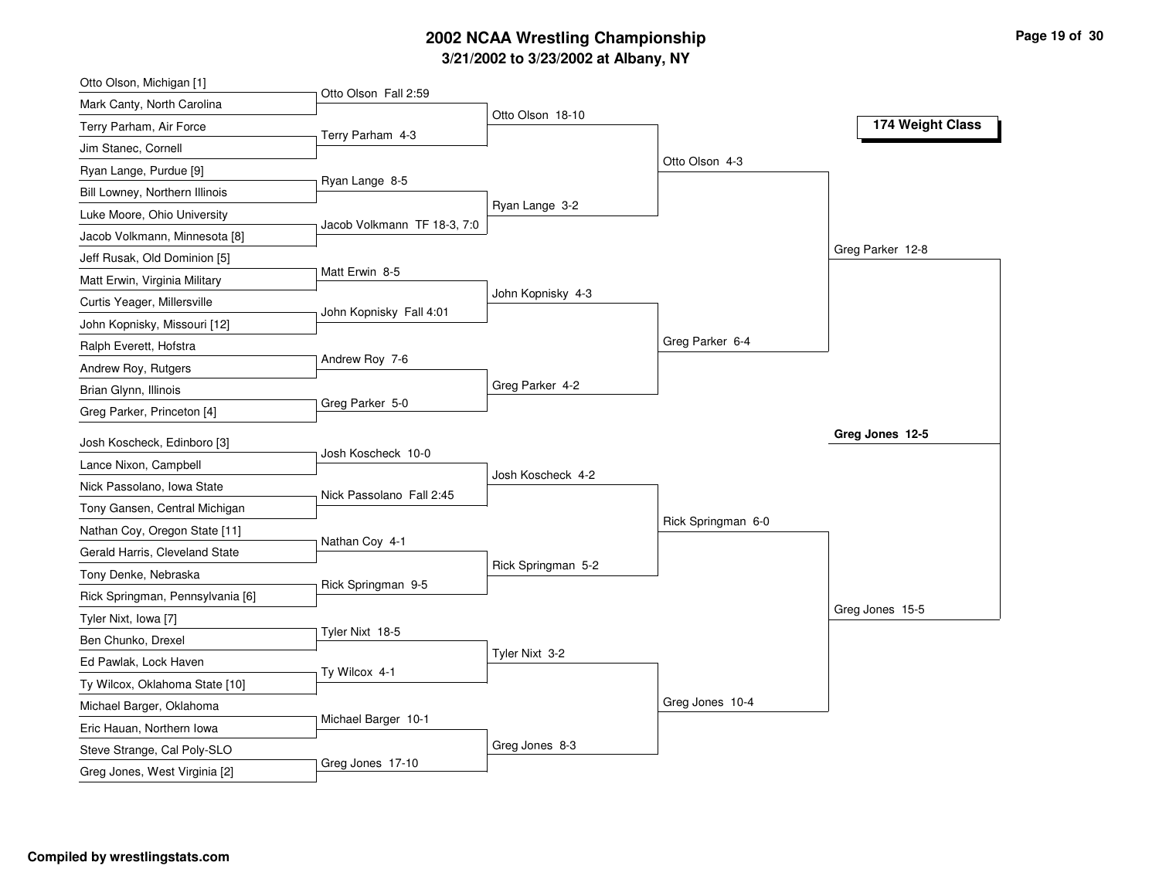# **3/21/2002 to 3/23/2002 at Albany, NY 2002 NCAA Wrestling Championship Page <sup>19</sup> of <sup>30</sup>**

| Otto Olson, Michigan [1]                                 |                             |                    |                    |                  |
|----------------------------------------------------------|-----------------------------|--------------------|--------------------|------------------|
| Mark Canty, North Carolina                               | Otto Olson Fall 2:59        |                    |                    |                  |
| Terry Parham, Air Force                                  | Terry Parham 4-3            | Otto Olson 18-10   |                    | 174 Weight Class |
| Jim Stanec, Cornell                                      |                             |                    |                    |                  |
| Ryan Lange, Purdue [9]                                   |                             |                    | Otto Olson 4-3     |                  |
| Bill Lowney, Northern Illinois                           | Ryan Lange 8-5              |                    |                    |                  |
| Luke Moore, Ohio University                              |                             | Ryan Lange 3-2     |                    |                  |
| Jacob Volkmann, Minnesota [8]                            | Jacob Volkmann TF 18-3, 7:0 |                    |                    |                  |
| Jeff Rusak, Old Dominion [5]                             |                             |                    |                    | Greg Parker 12-8 |
| Matt Erwin, Virginia Military                            | Matt Erwin 8-5              |                    |                    |                  |
| Curtis Yeager, Millersville                              |                             | John Kopnisky 4-3  |                    |                  |
| John Kopnisky, Missouri [12]                             | John Kopnisky Fall 4:01     |                    |                    |                  |
| Ralph Everett, Hofstra                                   |                             |                    | Greg Parker 6-4    |                  |
| Andrew Roy, Rutgers                                      | Andrew Roy 7-6              |                    |                    |                  |
| Brian Glynn, Illinois                                    |                             | Greg Parker 4-2    |                    |                  |
| Greg Parker, Princeton [4]                               | Greg Parker 5-0             |                    |                    |                  |
| Josh Koscheck, Edinboro [3]                              |                             |                    |                    | Greg Jones 12-5  |
| Lance Nixon, Campbell                                    | Josh Koscheck 10-0          |                    |                    |                  |
| Nick Passolano, Iowa State                               |                             | Josh Koscheck 4-2  |                    |                  |
| Tony Gansen, Central Michigan                            | Nick Passolano Fall 2:45    |                    |                    |                  |
|                                                          |                             |                    |                    |                  |
|                                                          |                             |                    | Rick Springman 6-0 |                  |
| Nathan Coy, Oregon State [11]                            | Nathan Coy 4-1              |                    |                    |                  |
| Gerald Harris, Cleveland State                           |                             | Rick Springman 5-2 |                    |                  |
| Tony Denke, Nebraska                                     | Rick Springman 9-5          |                    |                    |                  |
| Rick Springman, Pennsylvania [6]                         |                             |                    |                    | Greg Jones 15-5  |
| Tyler Nixt, Iowa [7]                                     | Tyler Nixt 18-5             |                    |                    |                  |
| Ben Chunko, Drexel                                       |                             | Tyler Nixt 3-2     |                    |                  |
| Ed Pawlak, Lock Haven                                    | Ty Wilcox 4-1               |                    |                    |                  |
| Ty Wilcox, Oklahoma State [10]                           |                             |                    |                    |                  |
| Michael Barger, Oklahoma                                 | Michael Barger 10-1         |                    | Greg Jones 10-4    |                  |
| Eric Hauan, Northern Iowa<br>Steve Strange, Cal Poly-SLO |                             | Greg Jones 8-3     |                    |                  |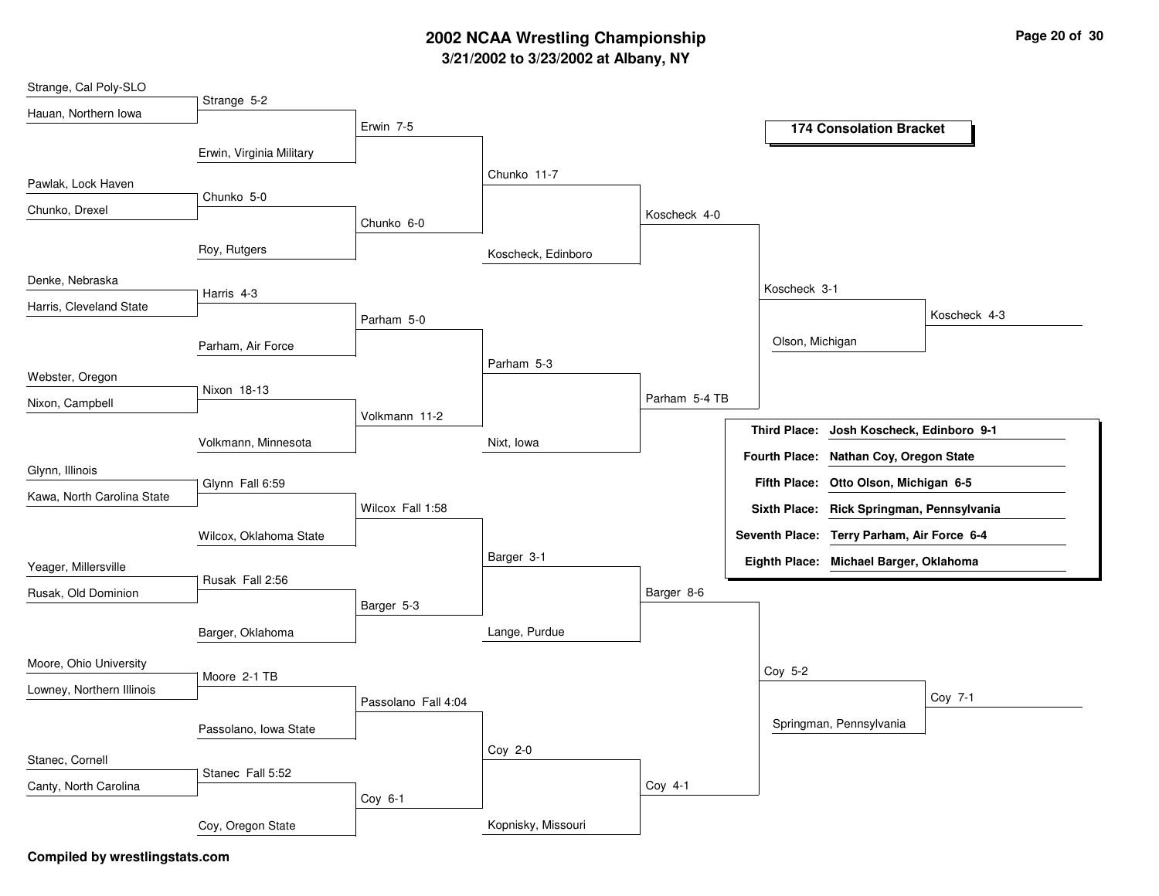# **3/21/2002 to 3/23/2002 at Albany, NY 2002 NCAA Wrestling Championship Page <sup>20</sup> of <sup>30</sup>**

| Strange, Cal Poly-SLO      |                          |                     |                    |               |                     |                                            |              |
|----------------------------|--------------------------|---------------------|--------------------|---------------|---------------------|--------------------------------------------|--------------|
| Hauan, Northern Iowa       | Strange 5-2              |                     |                    |               |                     |                                            |              |
|                            |                          | Erwin 7-5           |                    |               |                     | <b>174 Consolation Bracket</b>             |              |
|                            | Erwin, Virginia Military |                     |                    |               |                     |                                            |              |
| Pawlak, Lock Haven         |                          |                     | Chunko 11-7        |               |                     |                                            |              |
| Chunko, Drexel             | Chunko 5-0               |                     |                    | Koscheck 4-0  |                     |                                            |              |
|                            |                          | Chunko 6-0          |                    |               |                     |                                            |              |
|                            | Roy, Rutgers             |                     | Koscheck, Edinboro |               |                     |                                            |              |
| Denke, Nebraska            |                          |                     |                    |               | Koscheck 3-1        |                                            |              |
| Harris, Cleveland State    | Harris 4-3               |                     |                    |               |                     |                                            |              |
|                            |                          | Parham 5-0          |                    |               |                     |                                            | Koscheck 4-3 |
|                            | Parham, Air Force        |                     |                    |               | Olson, Michigan     |                                            |              |
| Webster, Oregon            |                          |                     | Parham 5-3         |               |                     |                                            |              |
| Nixon, Campbell            | Nixon 18-13              |                     |                    | Parham 5-4 TB |                     |                                            |              |
|                            |                          | Volkmann 11-2       |                    |               |                     |                                            |              |
|                            | Volkmann, Minnesota      |                     | Nixt, Iowa         |               | <b>Third Place:</b> | Josh Koscheck, Edinboro 9-1                |              |
| Glynn, Illinois            |                          |                     |                    |               |                     | Fourth Place: Nathan Coy, Oregon State     |              |
| Kawa, North Carolina State | Glynn Fall 6:59          |                     |                    |               |                     | Fifth Place: Otto Olson, Michigan 6-5      |              |
|                            |                          | Wilcox Fall 1:58    |                    |               |                     | Sixth Place: Rick Springman, Pennsylvania  |              |
|                            | Wilcox, Oklahoma State   |                     |                    |               |                     | Seventh Place: Terry Parham, Air Force 6-4 |              |
| Yeager, Millersville       |                          |                     | Barger 3-1         |               |                     | Eighth Place: Michael Barger, Oklahoma     |              |
| Rusak, Old Dominion        | Rusak Fall 2:56          |                     |                    | Barger 8-6    |                     |                                            |              |
|                            |                          | Barger 5-3          |                    |               |                     |                                            |              |
|                            | Barger, Oklahoma         |                     | Lange, Purdue      |               |                     |                                            |              |
| Moore, Ohio University     |                          |                     |                    |               |                     |                                            |              |
| Lowney, Northern Illinois  | Moore 2-1 TB             |                     |                    |               | Coy 5-2             |                                            |              |
|                            |                          | Passolano Fall 4:04 |                    |               |                     |                                            | Coy 7-1      |
|                            | Passolano, Iowa State    |                     |                    |               |                     | Springman, Pennsylvania                    |              |
| Stanec, Cornell            |                          |                     | Coy 2-0            |               |                     |                                            |              |
|                            | Stanec Fall 5:52         |                     |                    |               |                     |                                            |              |
| Canty, North Carolina      |                          | Coy 6-1             |                    | Coy 4-1       |                     |                                            |              |
|                            | Coy, Oregon State        |                     | Kopnisky, Missouri |               |                     |                                            |              |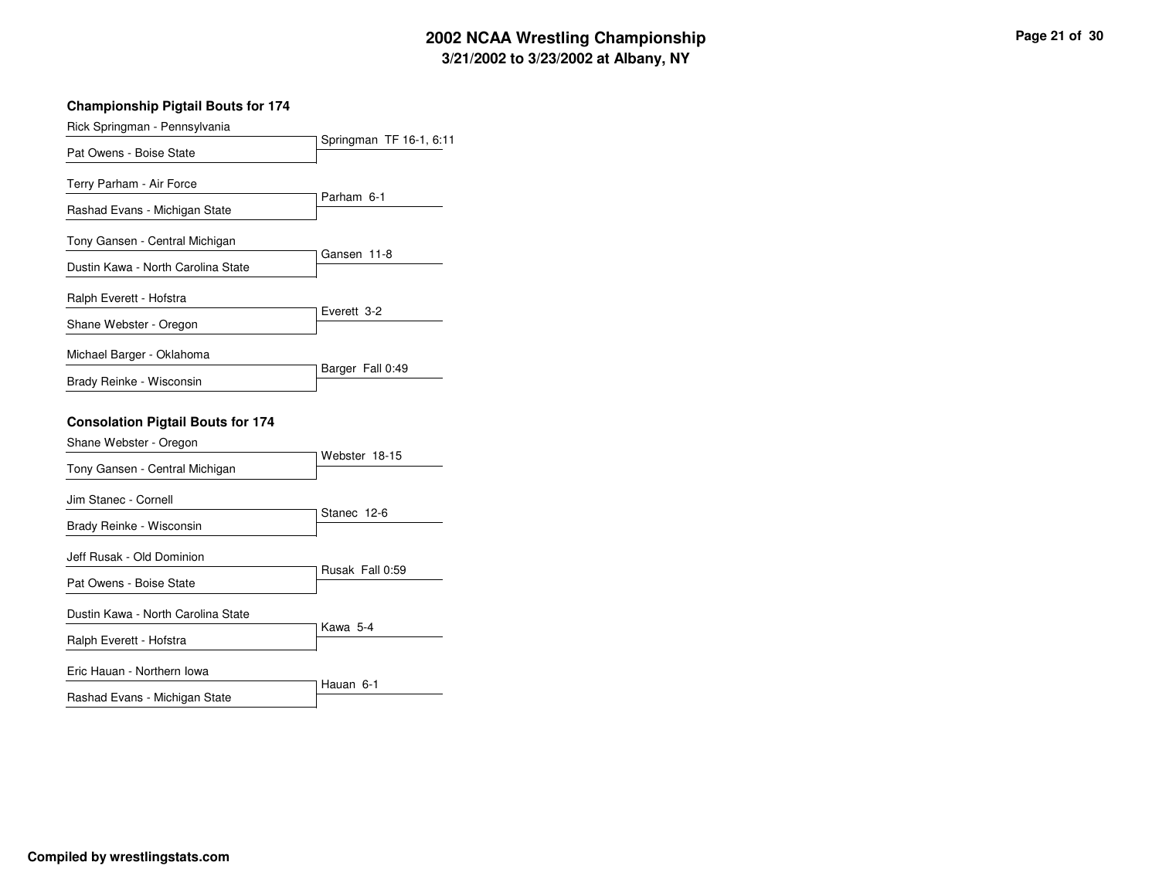# **3/21/2002 to 3/23/2002 at Albany, NY 2002 NCAA Wrestling Championship Page <sup>21</sup> of <sup>30</sup>**

| <b>Championship Pigtail Bouts for 174</b> |                         |
|-------------------------------------------|-------------------------|
| Rick Springman - Pennsylvania             |                         |
| Pat Owens - Boise State                   | Springman TF 16-1, 6:11 |
| Terry Parham - Air Force                  |                         |
| Rashad Evans - Michigan State             | Parham 6-1              |
| Tony Gansen - Central Michigan            |                         |
| Dustin Kawa - North Carolina State        | Gansen 11-8             |
| Ralph Everett - Hofstra                   |                         |
| Shane Webster - Oregon                    | Everett 3-2             |
| Michael Barger - Oklahoma                 |                         |
| Brady Reinke - Wisconsin                  | Barger Fall 0:49        |
| <b>Consolation Pigtail Bouts for 174</b>  |                         |
| Shane Webster - Oregon                    |                         |
| Tony Gansen - Central Michigan            | Webster 18-15           |
| Jim Stanec - Cornell                      |                         |
| Brady Reinke - Wisconsin                  | Stanec 12-6             |
| Jeff Rusak - Old Dominion                 |                         |
| Pat Owens - Boise State                   | Rusak Fall 0:59         |
| Dustin Kawa - North Carolina State        |                         |
| Ralph Everett - Hofstra                   | Kawa 5-4                |
| Eric Hauan - Northern Iowa                |                         |
| Rashad Evans - Michigan State             | Hauan 6-1               |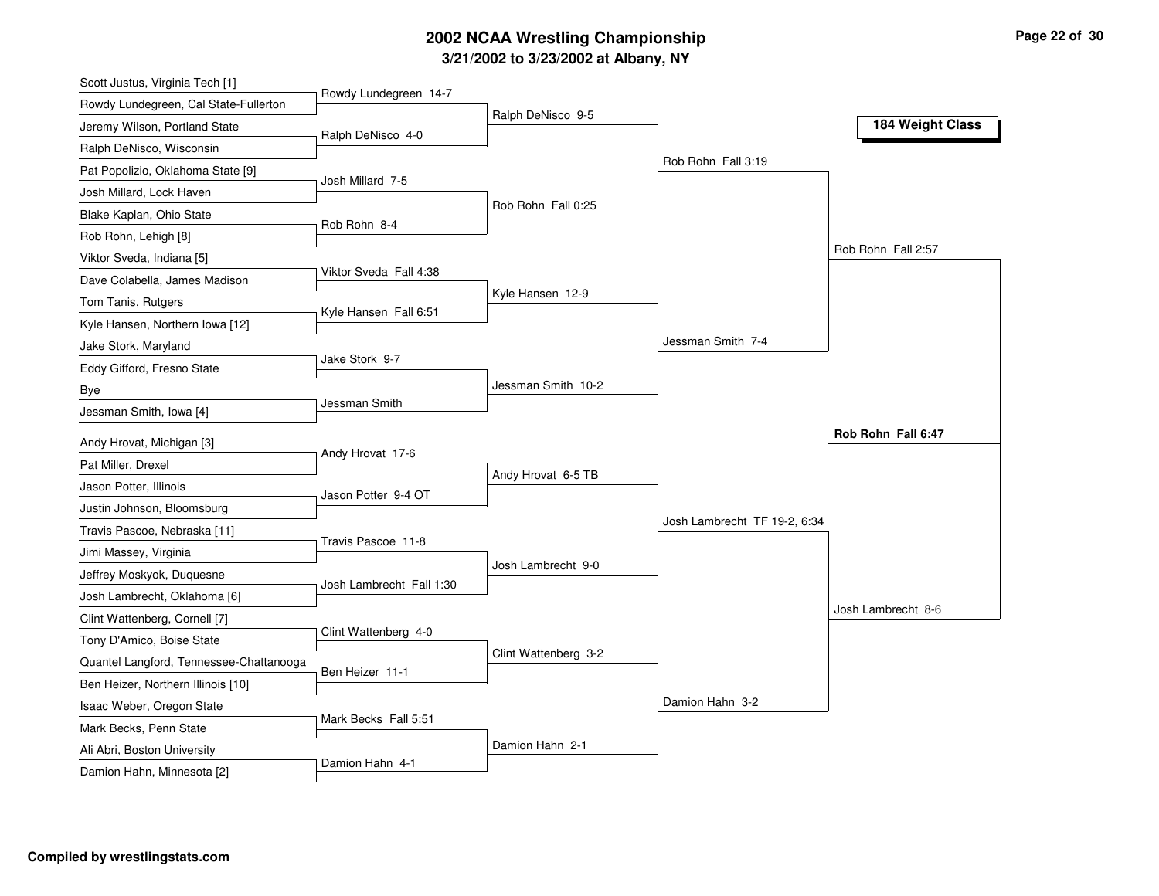# **3/21/2002 to 3/23/2002 at Albany, NY 2002 NCAA Wrestling Championship Page <sup>22</sup> of <sup>30</sup>**

| Scott Justus, Virginia Tech [1]         |                          |                      |                              |                    |
|-----------------------------------------|--------------------------|----------------------|------------------------------|--------------------|
| Rowdy Lundegreen, Cal State-Fullerton   | Rowdy Lundegreen 14-7    |                      |                              |                    |
| Jeremy Wilson, Portland State           | Ralph DeNisco 4-0        | Ralph DeNisco 9-5    |                              | 184 Weight Class   |
| Ralph DeNisco, Wisconsin                |                          |                      |                              |                    |
| Pat Popolizio, Oklahoma State [9]       |                          |                      | Rob Rohn Fall 3:19           |                    |
| Josh Millard, Lock Haven                | Josh Millard 7-5         |                      |                              |                    |
| Blake Kaplan, Ohio State                |                          | Rob Rohn Fall 0:25   |                              |                    |
| Rob Rohn, Lehigh [8]                    | Rob Rohn 8-4             |                      |                              |                    |
| Viktor Sveda, Indiana [5]               |                          |                      |                              | Rob Rohn Fall 2:57 |
| Dave Colabella, James Madison           | Viktor Sveda Fall 4:38   |                      |                              |                    |
| Tom Tanis, Rutgers                      |                          | Kyle Hansen 12-9     |                              |                    |
| Kyle Hansen, Northern Iowa [12]         | Kyle Hansen Fall 6:51    |                      |                              |                    |
| Jake Stork, Maryland                    |                          |                      | Jessman Smith 7-4            |                    |
| Eddy Gifford, Fresno State              | Jake Stork 9-7           |                      |                              |                    |
| Bye                                     |                          | Jessman Smith 10-2   |                              |                    |
| Jessman Smith, Iowa [4]                 | Jessman Smith            |                      |                              |                    |
|                                         |                          |                      |                              | Rob Rohn Fall 6:47 |
| Andy Hrovat, Michigan [3]               | Andy Hrovat 17-6         |                      |                              |                    |
| Pat Miller, Drexel                      |                          | Andy Hrovat 6-5 TB   |                              |                    |
| Jason Potter, Illinois                  | Jason Potter 9-4 OT      |                      |                              |                    |
| Justin Johnson, Bloomsburg              |                          |                      | Josh Lambrecht TF 19-2, 6:34 |                    |
| Travis Pascoe, Nebraska [11]            | Travis Pascoe 11-8       |                      |                              |                    |
| Jimi Massey, Virginia                   |                          | Josh Lambrecht 9-0   |                              |                    |
| Jeffrey Moskyok, Duquesne               | Josh Lambrecht Fall 1:30 |                      |                              |                    |
| Josh Lambrecht, Oklahoma [6]            |                          |                      |                              | Josh Lambrecht 8-6 |
| Clint Wattenberg, Cornell [7]           | Clint Wattenberg 4-0     |                      |                              |                    |
| Tony D'Amico, Boise State               |                          | Clint Wattenberg 3-2 |                              |                    |
| Quantel Langford, Tennessee-Chattanooga | Ben Heizer 11-1          |                      |                              |                    |
| Ben Heizer, Northern Illinois [10]      |                          |                      |                              |                    |
| Isaac Weber, Oregon State               | Mark Becks Fall 5:51     |                      | Damion Hahn 3-2              |                    |
| Mark Becks, Penn State                  |                          |                      |                              |                    |
| Ali Abri, Boston University             | Damion Hahn 4-1          | Damion Hahn 2-1      |                              |                    |
| Damion Hahn, Minnesota [2]              |                          |                      |                              |                    |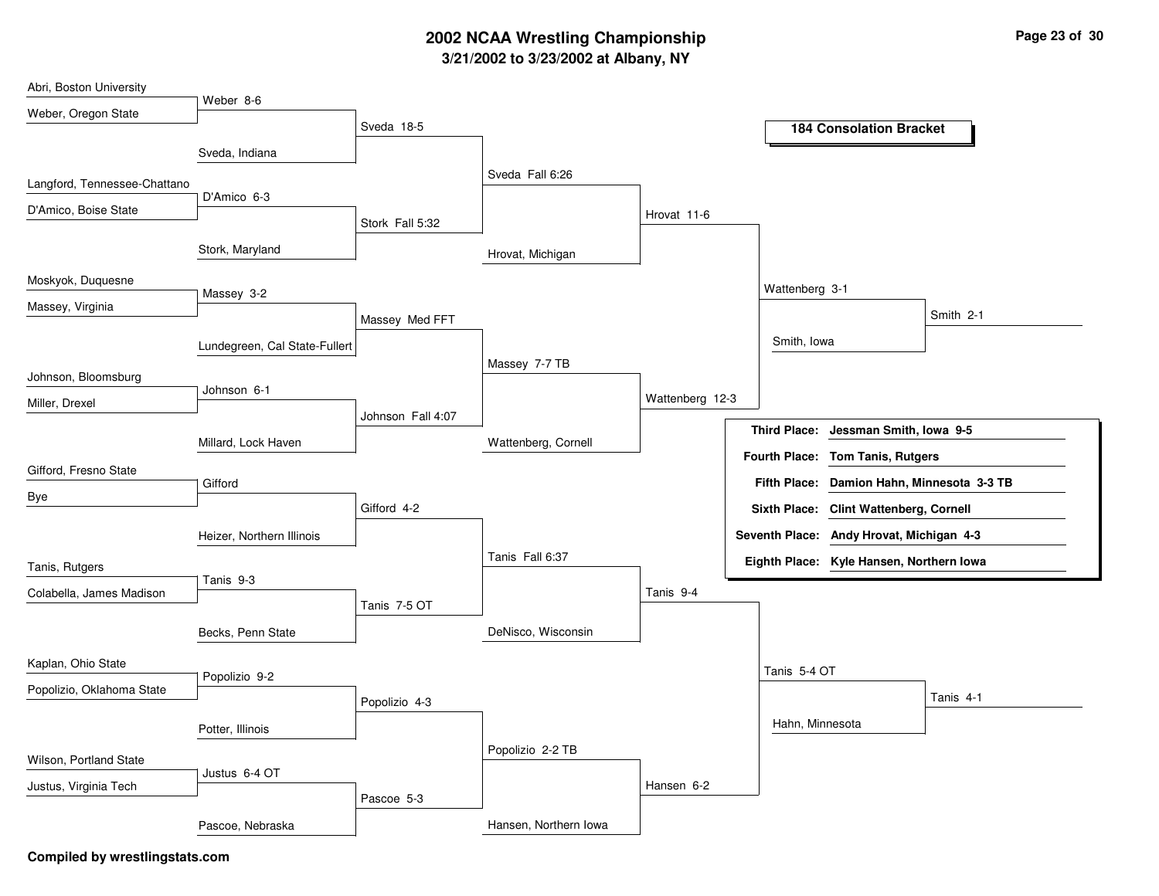# **3/21/2002 to 3/23/2002 at Albany, NY 2002 NCAA Wrestling Championship Page <sup>23</sup> of <sup>30</sup>**

| Abri, Boston University      |                               |                   |                       |                 |                                            |  |
|------------------------------|-------------------------------|-------------------|-----------------------|-----------------|--------------------------------------------|--|
| Weber, Oregon State          | Weber 8-6                     |                   |                       |                 |                                            |  |
|                              |                               | Sveda 18-5        |                       |                 | <b>184 Consolation Bracket</b>             |  |
|                              | Sveda, Indiana                |                   |                       |                 |                                            |  |
| Langford, Tennessee-Chattano |                               |                   | Sveda Fall 6:26       |                 |                                            |  |
| D'Amico, Boise State         | D'Amico 6-3                   |                   |                       | Hrovat 11-6     |                                            |  |
|                              |                               | Stork Fall 5:32   |                       |                 |                                            |  |
|                              | Stork, Maryland               |                   | Hrovat, Michigan      |                 |                                            |  |
| Moskyok, Duquesne            |                               |                   |                       |                 |                                            |  |
| Massey, Virginia             | Massey 3-2                    |                   |                       |                 | Wattenberg 3-1                             |  |
|                              |                               | Massey Med FFT    |                       |                 | Smith 2-1                                  |  |
|                              | Lundegreen, Cal State-Fullert |                   |                       |                 | Smith, Iowa                                |  |
| Johnson, Bloomsburg          |                               |                   | Massey 7-7 TB         |                 |                                            |  |
|                              | Johnson 6-1                   |                   |                       | Wattenberg 12-3 |                                            |  |
| Miller, Drexel               |                               | Johnson Fall 4:07 |                       |                 |                                            |  |
|                              | Millard, Lock Haven           |                   | Wattenberg, Cornell   |                 | Third Place: Jessman Smith, Iowa 9-5       |  |
| Gifford, Fresno State        |                               |                   |                       |                 | Fourth Place: Tom Tanis, Rutgers           |  |
|                              | Gifford                       |                   |                       |                 | Fifth Place: Damion Hahn, Minnesota 3-3 TB |  |
| Bye                          |                               | Gifford 4-2       |                       |                 | Sixth Place: Clint Wattenberg, Cornell     |  |
|                              | Heizer, Northern Illinois     |                   |                       |                 | Seventh Place: Andy Hrovat, Michigan 4-3   |  |
| Tanis, Rutgers               |                               |                   | Tanis Fall 6:37       |                 | Eighth Place: Kyle Hansen, Northern Iowa   |  |
|                              | Tanis 9-3                     |                   |                       |                 |                                            |  |
| Colabella, James Madison     |                               | Tanis 7-5 OT      |                       | Tanis 9-4       |                                            |  |
|                              | Becks, Penn State             |                   | DeNisco, Wisconsin    |                 |                                            |  |
|                              |                               |                   |                       |                 |                                            |  |
| Kaplan, Ohio State           | Popolizio 9-2                 |                   |                       |                 | Tanis 5-4 OT                               |  |
| Popolizio, Oklahoma State    |                               | Popolizio 4-3     |                       |                 | Tanis 4-1                                  |  |
|                              | Potter, Illinois              |                   |                       |                 | Hahn, Minnesota                            |  |
|                              |                               |                   | Popolizio 2-2 TB      |                 |                                            |  |
| Wilson, Portland State       | Justus 6-4 OT                 |                   |                       |                 |                                            |  |
| Justus, Virginia Tech        |                               | Pascoe 5-3        |                       | Hansen 6-2      |                                            |  |
|                              |                               |                   |                       |                 |                                            |  |
|                              | Pascoe, Nebraska              |                   | Hansen, Northern Iowa |                 |                                            |  |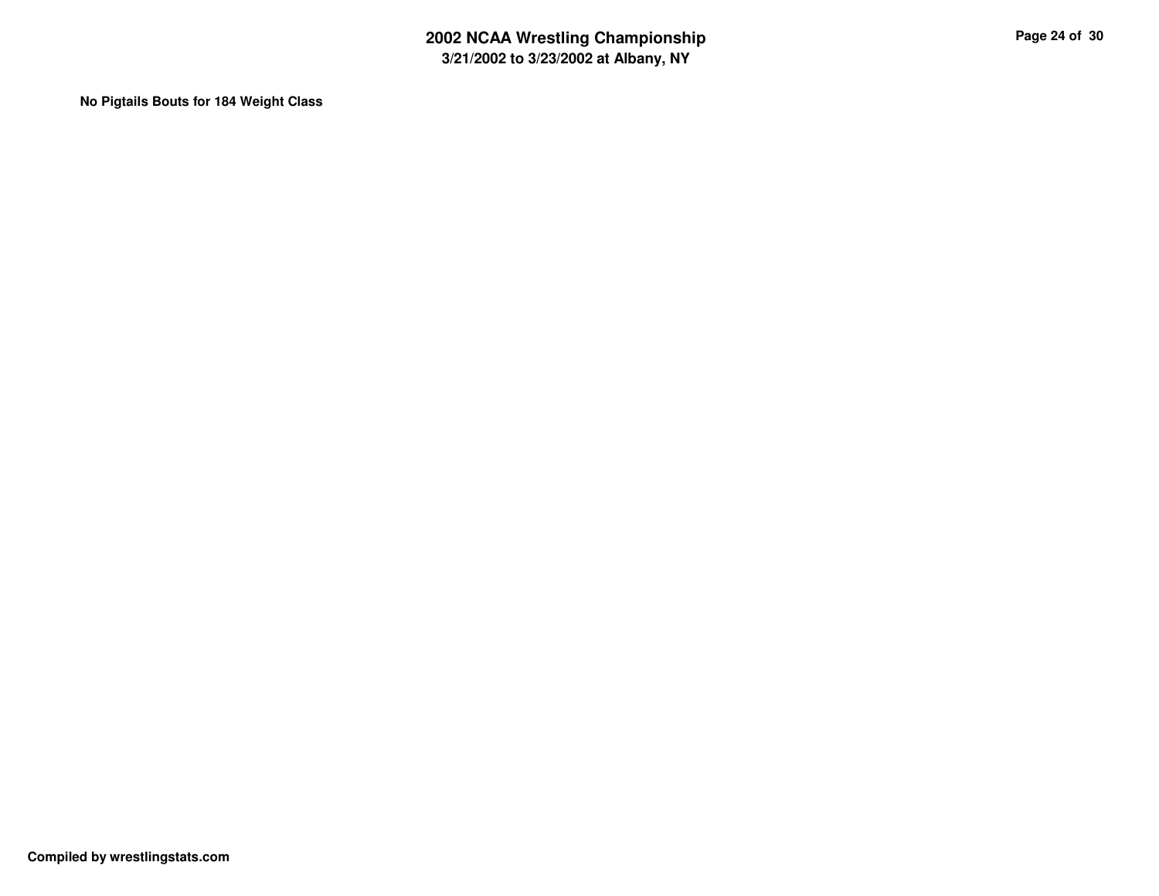**No Pigtails Bouts for 184 Weight Class**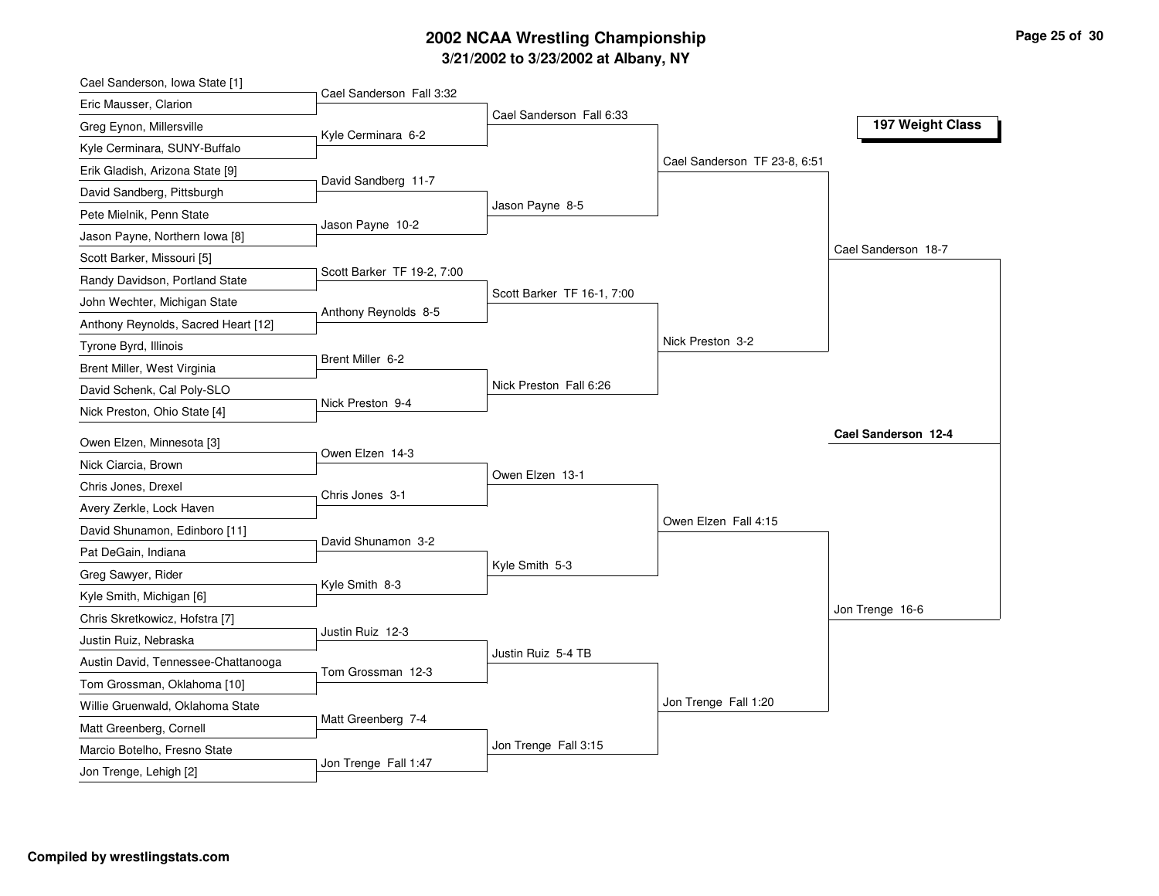# **3/21/2002 to 3/23/2002 at Albany, NY 2002 NCAA Wrestling Championship Page <sup>25</sup> of <sup>30</sup>**

| Cael Sanderson, Iowa State [1]                          |                            |                            |                              |                     |
|---------------------------------------------------------|----------------------------|----------------------------|------------------------------|---------------------|
| Eric Mausser, Clarion                                   | Cael Sanderson Fall 3:32   |                            |                              |                     |
| Greg Eynon, Millersville                                |                            | Cael Sanderson Fall 6:33   |                              | 197 Weight Class    |
| Kyle Cerminara, SUNY-Buffalo                            | Kyle Cerminara 6-2         |                            |                              |                     |
| Erik Gladish, Arizona State [9]                         |                            |                            | Cael Sanderson TF 23-8, 6:51 |                     |
| David Sandberg, Pittsburgh                              | David Sandberg 11-7        |                            |                              |                     |
| Pete Mielnik, Penn State                                |                            | Jason Payne 8-5            |                              |                     |
| Jason Payne, Northern Iowa [8]                          | Jason Payne 10-2           |                            |                              |                     |
| Scott Barker, Missouri [5]                              |                            |                            |                              | Cael Sanderson 18-7 |
| Randy Davidson, Portland State                          | Scott Barker TF 19-2, 7:00 |                            |                              |                     |
| John Wechter, Michigan State                            |                            | Scott Barker TF 16-1, 7:00 |                              |                     |
| Anthony Reynolds, Sacred Heart [12]                     | Anthony Reynolds 8-5       |                            |                              |                     |
| Tyrone Byrd, Illinois                                   |                            |                            | Nick Preston 3-2             |                     |
| Brent Miller, West Virginia                             | Brent Miller 6-2           |                            |                              |                     |
| David Schenk, Cal Poly-SLO                              |                            | Nick Preston Fall 6:26     |                              |                     |
| Nick Preston, Ohio State [4]                            | Nick Preston 9-4           |                            |                              |                     |
| Owen Elzen, Minnesota [3]                               |                            |                            |                              | Cael Sanderson 12-4 |
| Nick Ciarcia, Brown                                     | Owen Elzen 14-3            |                            |                              |                     |
| Chris Jones, Drexel                                     |                            | Owen Elzen 13-1            |                              |                     |
| Avery Zerkle, Lock Haven                                | Chris Jones 3-1            |                            |                              |                     |
| David Shunamon, Edinboro [11]                           |                            |                            | Owen Elzen Fall 4:15         |                     |
| Pat DeGain, Indiana                                     | David Shunamon 3-2         |                            |                              |                     |
| Greg Sawyer, Rider                                      |                            | Kyle Smith 5-3             |                              |                     |
| Kyle Smith, Michigan [6]                                | Kyle Smith 8-3             |                            |                              |                     |
| Chris Skretkowicz, Hofstra [7]                          |                            |                            |                              | Jon Trenge 16-6     |
| Justin Ruiz, Nebraska                                   | Justin Ruiz 12-3           |                            |                              |                     |
| Austin David, Tennessee-Chattanooga                     |                            | Justin Ruiz 5-4 TB         |                              |                     |
| Tom Grossman, Oklahoma [10]                             | Tom Grossman 12-3          |                            |                              |                     |
|                                                         |                            |                            |                              |                     |
|                                                         |                            |                            |                              |                     |
| Willie Gruenwald, Oklahoma State                        | Matt Greenberg 7-4         |                            | Jon Trenge Fall 1:20         |                     |
| Matt Greenberg, Cornell<br>Marcio Botelho, Fresno State |                            | Jon Trenge Fall 3:15       |                              |                     |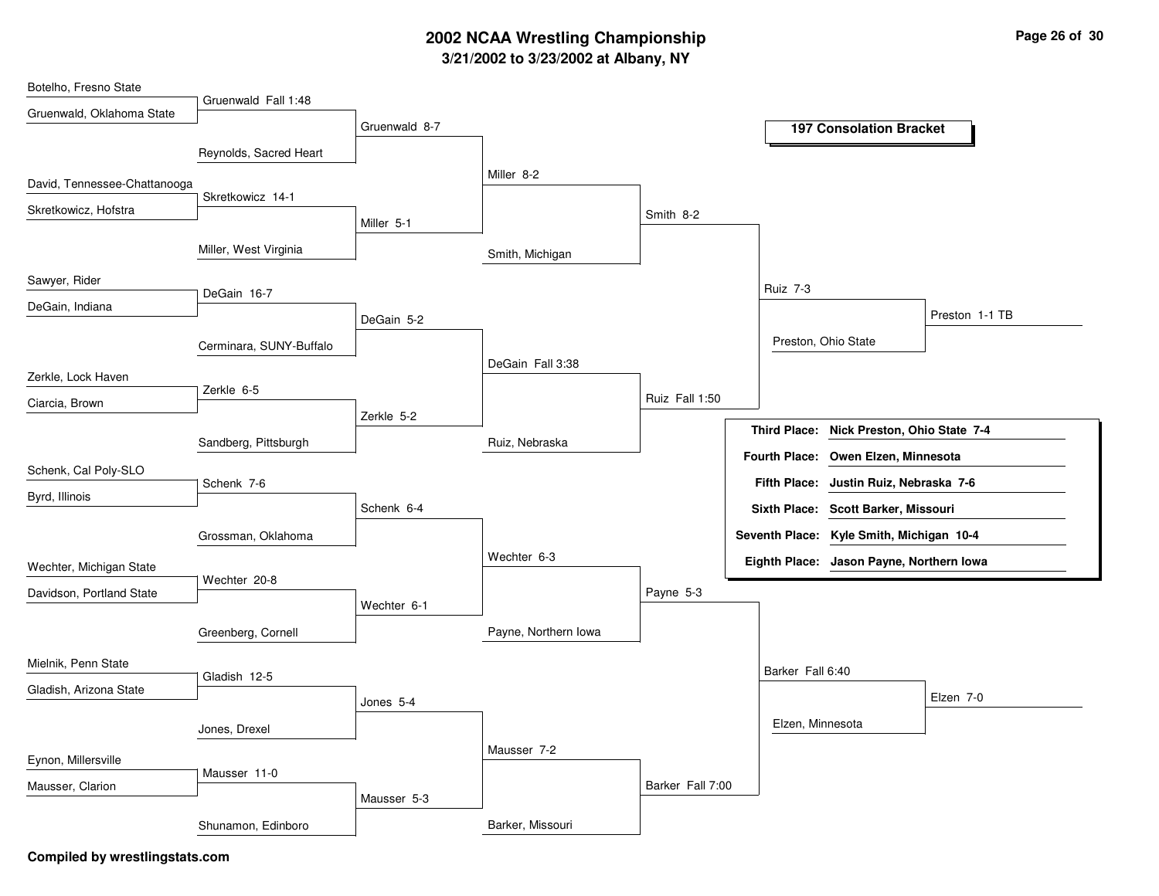# **3/21/2002 to 3/23/2002 at Albany, NY 2002 NCAA Wrestling Championship Page <sup>26</sup> of <sup>30</sup>**

| Botelho, Fresno State        |                         |               |                      |                  |                      |                                           |                |
|------------------------------|-------------------------|---------------|----------------------|------------------|----------------------|-------------------------------------------|----------------|
| Gruenwald, Oklahoma State    | Gruenwald Fall 1:48     |               |                      |                  |                      |                                           |                |
|                              |                         | Gruenwald 8-7 |                      |                  |                      | <b>197 Consolation Bracket</b>            |                |
|                              | Reynolds, Sacred Heart  |               |                      |                  |                      |                                           |                |
|                              |                         |               |                      |                  |                      |                                           |                |
| David, Tennessee-Chattanooga |                         |               | Miller 8-2           |                  |                      |                                           |                |
| Skretkowicz, Hofstra         | Skretkowicz 14-1        |               |                      |                  |                      |                                           |                |
|                              |                         | Miller 5-1    |                      | Smith 8-2        |                      |                                           |                |
|                              | Miller, West Virginia   |               |                      |                  |                      |                                           |                |
|                              |                         |               | Smith, Michigan      |                  |                      |                                           |                |
| Sawyer, Rider                |                         |               |                      |                  | <b>Ruiz 7-3</b>      |                                           |                |
| DeGain, Indiana              | DeGain 16-7             |               |                      |                  |                      |                                           |                |
|                              |                         | DeGain 5-2    |                      |                  |                      |                                           | Preston 1-1 TB |
|                              | Cerminara, SUNY-Buffalo |               |                      |                  |                      | Preston, Ohio State                       |                |
|                              |                         |               | DeGain Fall 3:38     |                  |                      |                                           |                |
| Zerkle, Lock Haven           | Zerkle 6-5              |               |                      |                  |                      |                                           |                |
| Ciarcia, Brown               |                         |               |                      | Ruiz Fall 1:50   |                      |                                           |                |
|                              |                         | Zerkle 5-2    |                      |                  |                      | Third Place: Nick Preston, Ohio State 7-4 |                |
|                              | Sandberg, Pittsburgh    |               | Ruiz, Nebraska       |                  |                      |                                           |                |
| Schenk, Cal Poly-SLO         |                         |               |                      |                  | <b>Fourth Place:</b> | Owen Elzen, Minnesota                     |                |
|                              | Schenk 7-6              |               |                      |                  | <b>Fifth Place:</b>  | Justin Ruiz, Nebraska 7-6                 |                |
| Byrd, Illinois               |                         | Schenk 6-4    |                      |                  |                      | Sixth Place: Scott Barker, Missouri       |                |
|                              | Grossman, Oklahoma      |               |                      |                  |                      | Seventh Place: Kyle Smith, Michigan 10-4  |                |
|                              |                         |               | Wechter 6-3          |                  |                      | Eighth Place: Jason Payne, Northern Iowa  |                |
| Wechter, Michigan State      | Wechter 20-8            |               |                      |                  |                      |                                           |                |
| Davidson, Portland State     |                         | Wechter 6-1   |                      | Payne 5-3        |                      |                                           |                |
|                              |                         |               |                      |                  |                      |                                           |                |
|                              | Greenberg, Cornell      |               | Payne, Northern Iowa |                  |                      |                                           |                |
| Mielnik, Penn State          |                         |               |                      |                  |                      |                                           |                |
|                              | Gladish 12-5            |               |                      |                  | Barker Fall 6:40     |                                           |                |
| Gladish, Arizona State       |                         | Jones 5-4     |                      |                  |                      |                                           | Elzen 7-0      |
|                              |                         |               |                      |                  | Elzen, Minnesota     |                                           |                |
|                              | Jones, Drexel           |               |                      |                  |                      |                                           |                |
| Eynon, Millersville          |                         |               | Mausser 7-2          |                  |                      |                                           |                |
| Mausser, Clarion             | Mausser 11-0            |               |                      | Barker Fall 7:00 |                      |                                           |                |
|                              |                         | Mausser 5-3   |                      |                  |                      |                                           |                |
|                              | Shunamon, Edinboro      |               | Barker, Missouri     |                  |                      |                                           |                |
|                              |                         |               |                      |                  |                      |                                           |                |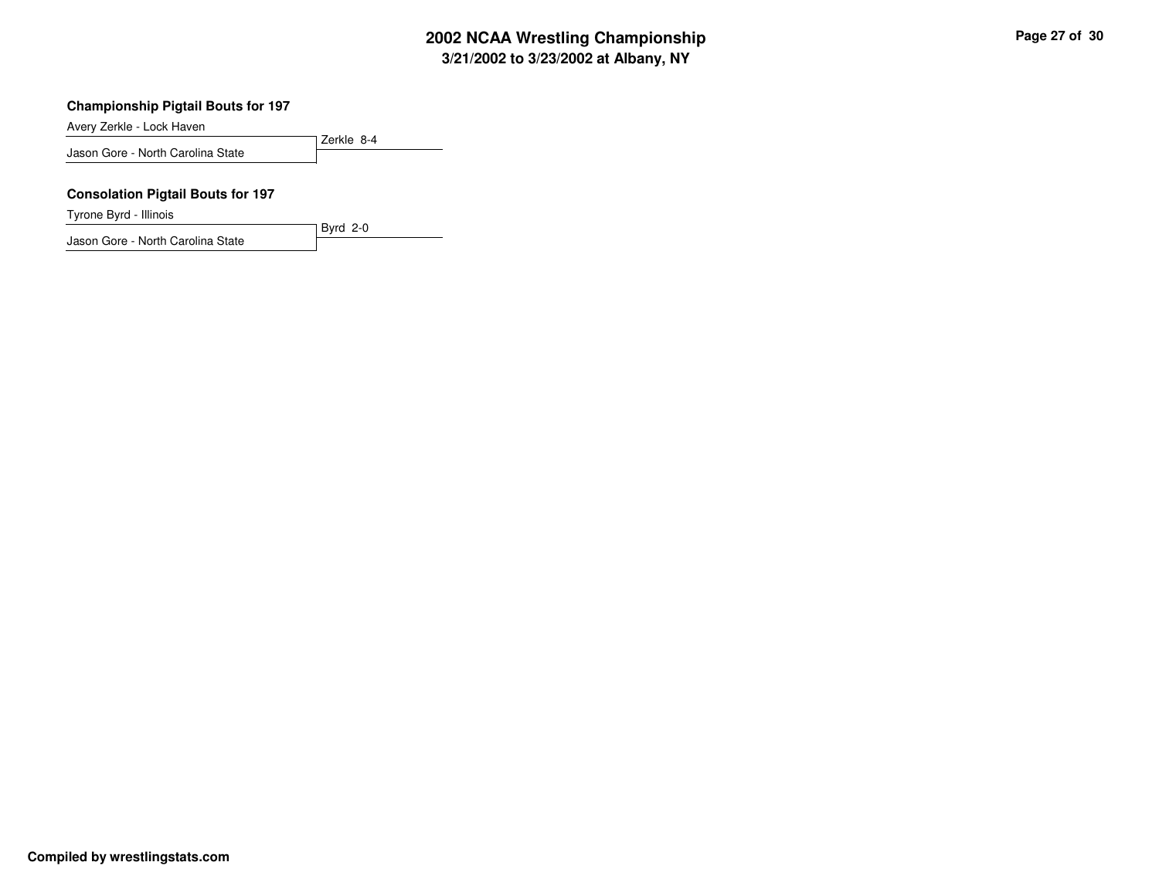#### **Championship Pigtail Bouts for 197**

Avery Zerkle - Lock Haven

Zerkle 8-4 Jason Gore - North Carolina State

Byrd 2-0

#### **Consolation Pigtail Bouts for 197**

Tyrone Byrd - Illinois

Jason Gore - North Carolina State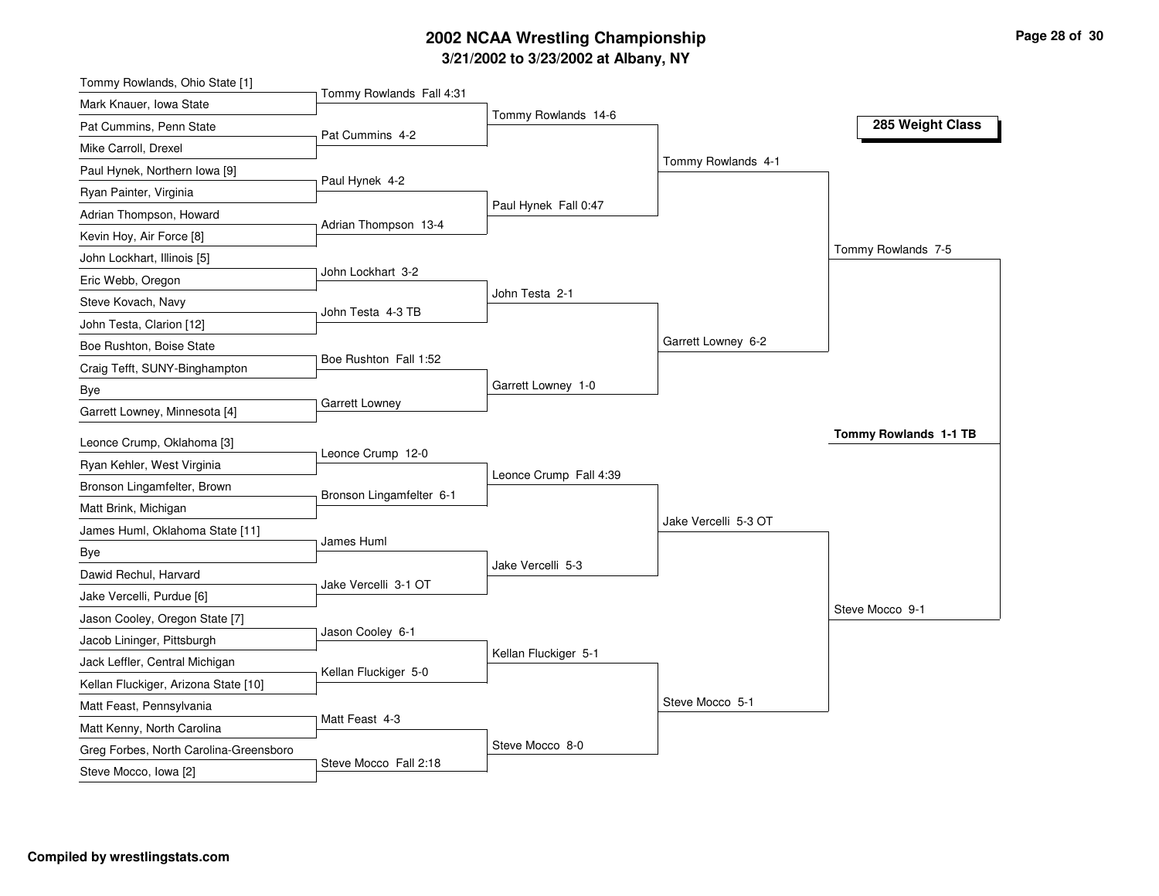# **3/21/2 0 0 2 to 3/2 3/2 0 0 2 at Alb a n y, N Y 2 0 0 2 N C AA Wre stlin g C h a m pio n s hip**

| Tommy Rowlands, Ohio State [1]         |                          |                        |                      |                       |
|----------------------------------------|--------------------------|------------------------|----------------------|-----------------------|
| Mark Knauer, Iowa State                | Tommy Rowlands Fall 4:31 |                        |                      |                       |
| Pat Cummins, Penn State                | Pat Cummins 4-2          | Tommy Rowlands 14-6    |                      | 285 Weight Class      |
| Mike Carroll, Drexel                   |                          |                        |                      |                       |
| Paul Hynek, Northern Iowa [9]          |                          |                        | Tommy Rowlands 4-1   |                       |
| Ryan Painter, Virginia                 | Paul Hynek 4-2           |                        |                      |                       |
| Adrian Thompson, Howard                |                          | Paul Hynek Fall 0:47   |                      |                       |
| Kevin Hoy, Air Force [8]               | Adrian Thompson 13-4     |                        |                      |                       |
| John Lockhart, Illinois [5]            |                          |                        |                      | Tommy Rowlands 7-5    |
| Eric Webb, Oregon                      | John Lockhart 3-2        |                        |                      |                       |
| Steve Kovach, Navy                     | John Testa 4-3 TB        | John Testa 2-1         |                      |                       |
| John Testa, Clarion [12]               |                          |                        |                      |                       |
| Boe Rushton, Boise State               |                          |                        | Garrett Lowney 6-2   |                       |
| Craig Tefft, SUNY-Binghampton          | Boe Rushton Fall 1:52    |                        |                      |                       |
| <b>Bye</b>                             |                          | Garrett Lowney 1-0     |                      |                       |
| Garrett Lowney, Minnesota [4]          | Garrett Lowney           |                        |                      |                       |
| Leonce Crump, Oklahoma [3]             |                          |                        |                      | Tommy Rowlands 1-1 TB |
| Ryan Kehler, West Virginia             | Leonce Crump 12-0        |                        |                      |                       |
| Bronson Lingamfelter, Brown            |                          | Leonce Crump Fall 4:39 |                      |                       |
| Matt Brink, Michigan                   | Bronson Lingamfelter 6-1 |                        |                      |                       |
| James Huml, Oklahoma State [11]        |                          |                        | Jake Vercelli 5-3 OT |                       |
| Bye                                    | James Huml               |                        |                      |                       |
| Dawid Rechul, Harvard                  |                          | Jake Vercelli 5-3      |                      |                       |
| Jake Vercelli, Purdue [6]              | Jake Vercelli 3-1 OT     |                        |                      |                       |
| Jason Cooley, Oregon State [7]         |                          |                        |                      | Steve Mocco 9-1       |
| Jacob Lininger, Pittsburgh             | Jason Cooley 6-1         |                        |                      |                       |
| Jack Leffler, Central Michigan         |                          | Kellan Fluckiger 5-1   |                      |                       |
| Kellan Fluckiger, Arizona State [10]   | Kellan Fluckiger 5-0     |                        |                      |                       |
| Matt Feast, Pennsylvania               |                          |                        | Steve Mocco 5-1      |                       |
| Matt Kenny, North Carolina             | Matt Feast 4-3           |                        |                      |                       |
| Greg Forbes, North Carolina-Greensboro |                          | Steve Mocco 8-0        |                      |                       |
| Steve Mocco, Iowa [2]                  | Steve Mocco Fall 2:18    |                        |                      |                       |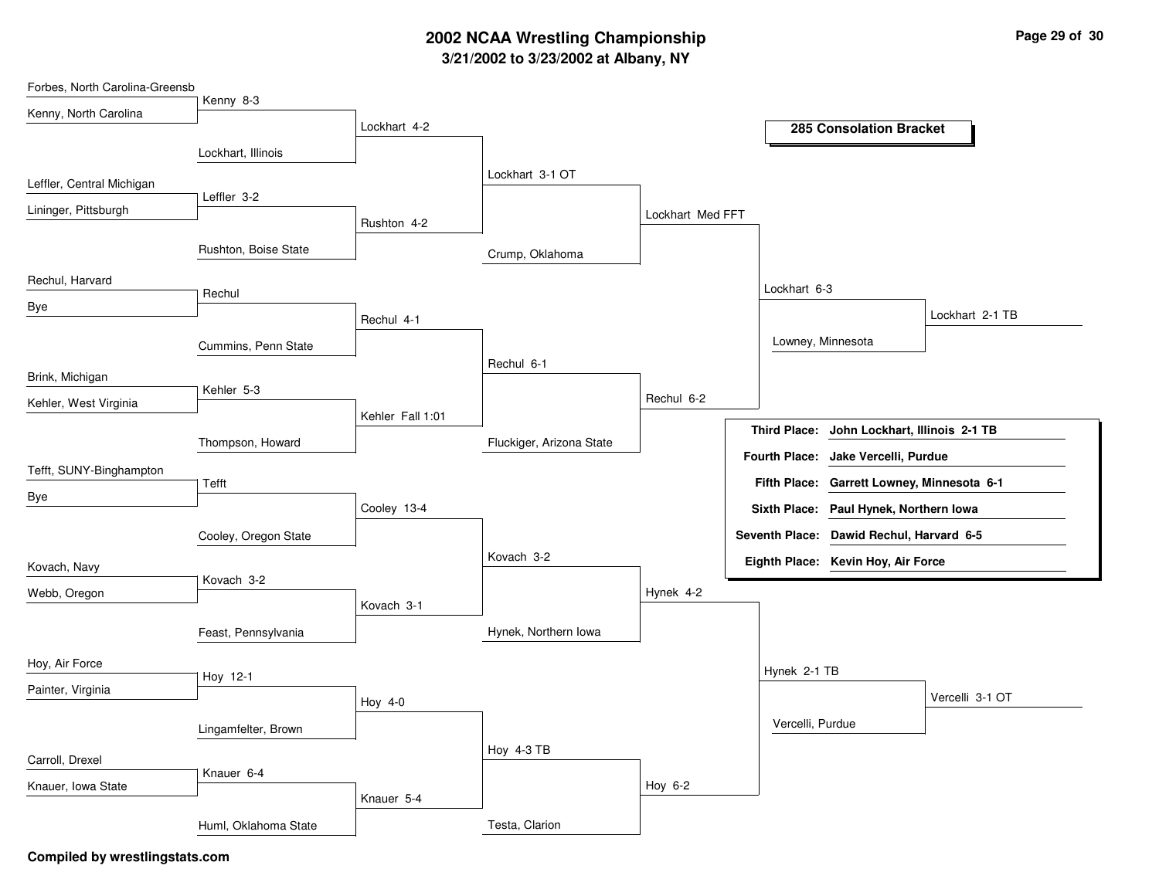# **3/21/2002 to 3/23/2002 at Albany, NY 2002 NCAA Wrestling Championship Page <sup>29</sup> of <sup>30</sup>**

| Forbes, North Carolina-Greensb |                      |                  |                          |                  |                     |                                                                                      |                 |
|--------------------------------|----------------------|------------------|--------------------------|------------------|---------------------|--------------------------------------------------------------------------------------|-----------------|
| Kenny, North Carolina          | Kenny 8-3            | Lockhart 4-2     |                          |                  |                     | <b>285 Consolation Bracket</b>                                                       |                 |
|                                | Lockhart, Illinois   |                  |                          |                  |                     |                                                                                      |                 |
| Leffler, Central Michigan      |                      |                  | Lockhart 3-1 OT          |                  |                     |                                                                                      |                 |
| Lininger, Pittsburgh           | Leffler 3-2          | Rushton 4-2      |                          | Lockhart Med FFT |                     |                                                                                      |                 |
|                                | Rushton, Boise State |                  | Crump, Oklahoma          |                  |                     |                                                                                      |                 |
| Rechul, Harvard                |                      |                  |                          |                  | Lockhart 6-3        |                                                                                      |                 |
| Bye                            | Rechul               | Rechul 4-1       |                          |                  |                     |                                                                                      | Lockhart 2-1 TB |
|                                | Cummins, Penn State  |                  |                          |                  |                     | Lowney, Minnesota                                                                    |                 |
| Brink, Michigan                |                      |                  | Rechul 6-1               |                  |                     |                                                                                      |                 |
| Kehler, West Virginia          | Kehler 5-3           | Kehler Fall 1:01 |                          | Rechul 6-2       |                     |                                                                                      |                 |
|                                | Thompson, Howard     |                  | Fluckiger, Arizona State |                  | <b>Third Place:</b> | John Lockhart, Illinois 2-1 TB                                                       |                 |
| Tefft, SUNY-Binghampton        |                      |                  |                          |                  |                     | Fourth Place: Jake Vercelli, Purdue                                                  |                 |
| Bye                            | Tefft                | Cooley 13-4      |                          |                  |                     | Fifth Place: Garrett Lowney, Minnesota 6-1<br>Sixth Place: Paul Hynek, Northern Iowa |                 |
|                                | Cooley, Oregon State |                  |                          |                  |                     | Seventh Place: Dawid Rechul, Harvard 6-5                                             |                 |
| Kovach, Navy                   |                      |                  | Kovach 3-2               |                  |                     | Eighth Place: Kevin Hoy, Air Force                                                   |                 |
| Webb, Oregon                   | Kovach 3-2           | Kovach 3-1       |                          | Hynek 4-2        |                     |                                                                                      |                 |
|                                | Feast, Pennsylvania  |                  | Hynek, Northern Iowa     |                  |                     |                                                                                      |                 |
| Hoy, Air Force                 |                      |                  |                          |                  | Hynek 2-1 TB        |                                                                                      |                 |
| Painter, Virginia              | Hoy 12-1             | Hoy 4-0          |                          |                  |                     |                                                                                      | Vercelli 3-1 OT |
|                                | Lingamfelter, Brown  |                  |                          |                  | Vercelli, Purdue    |                                                                                      |                 |
| Carroll, Drexel                |                      |                  | Hoy 4-3 TB               |                  |                     |                                                                                      |                 |
| Knauer, Iowa State             | Knauer 6-4           | Knauer 5-4       |                          | Hoy 6-2          |                     |                                                                                      |                 |
|                                | Huml, Oklahoma State |                  | Testa, Clarion           |                  |                     |                                                                                      |                 |